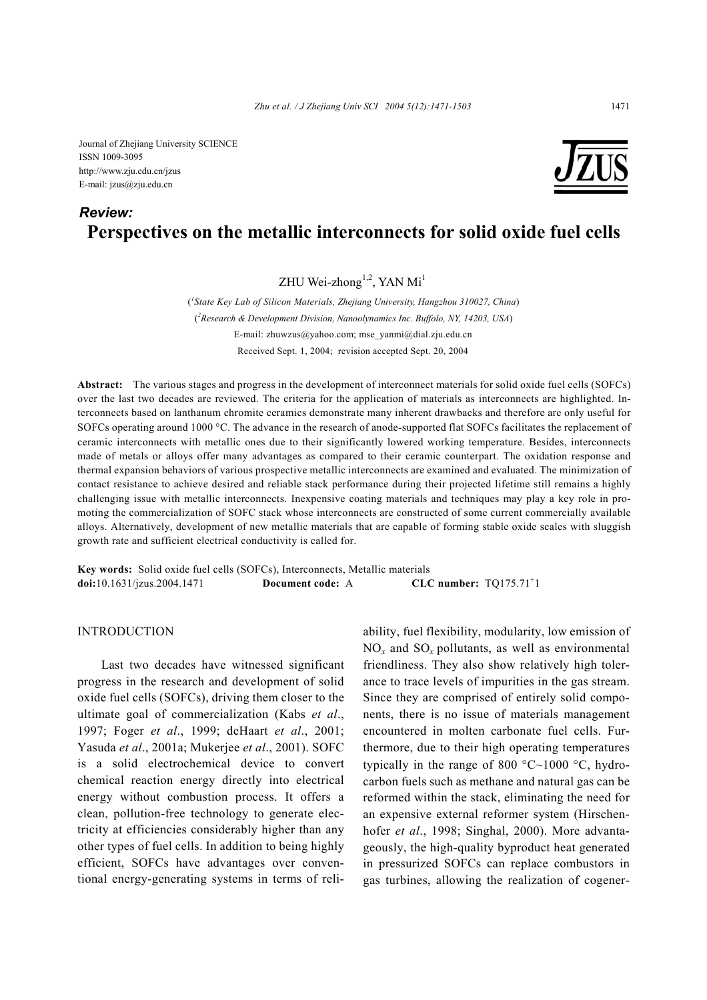# **Perspectives on the metallic interconnects for solid oxide fuel cells**  *Review:*

ZHU Wei-zhong<sup>1,2</sup>, YAN  $Mi<sup>1</sup>$ 

( *1 State Key Lab of Silicon Materials, Zhejiang University, Hangzhou 310027, China*) ( *2 Research & Development Division, Nanoolynamics Inc. Buffolo, NY, 14203, USA*) E-mail: zhuwzus@yahoo.com; mse\_yanmi@dial.zju.edu.cn Received Sept. 1, 2004; revision accepted Sept. 20, 2004

**Abstract:** The various stages and progress in the development of interconnect materials for solid oxide fuel cells (SOFCs) over the last two decades are reviewed. The criteria for the application of materials as interconnects are highlighted. Interconnects based on lanthanum chromite ceramics demonstrate many inherent drawbacks and therefore are only useful for SOFCs operating around 1000 °C. The advance in the research of anode-supported flat SOFCs facilitates the replacement of ceramic interconnects with metallic ones due to their significantly lowered working temperature. Besides, interconnects made of metals or alloys offer many advantages as compared to their ceramic counterpart. The oxidation response and thermal expansion behaviors of various prospective metallic interconnects are examined and evaluated. The minimization of contact resistance to achieve desired and reliable stack performance during their projected lifetime still remains a highly challenging issue with metallic interconnects. Inexpensive coating materials and techniques may play a key role in promoting the commercialization of SOFC stack whose interconnects are constructed of some current commercially available alloys. Alternatively, development of new metallic materials that are capable of forming stable oxide scales with sluggish growth rate and sufficient electrical conductivity is called for.

**Key words:** Solid oxide fuel cells (SOFCs), Interconnects, Metallic materials **doi:**10.1631/jzus.2004.1471 **Document code:** A CLC number: TO175.71<sup>+</sup>1

## INTRODUCTION

Last two decades have witnessed significant progress in the research and development of solid oxide fuel cells (SOFCs), driving them closer to the ultimate goal of commercialization (Kabs *et al*., 1997; Foger *et al*., 1999; deHaart *et al*., 2001; Yasuda *et al*., 2001a; Mukerjee *et al*., 2001). SOFC is a solid electrochemical device to convert chemical reaction energy directly into electrical energy without combustion process. It offers a clean, pollution-free technology to generate electricity at efficiencies considerably higher than any other types of fuel cells. In addition to being highly efficient, SOFCs have advantages over conventional energy-generating systems in terms of reliability, fuel flexibility, modularity, low emission of  $NO<sub>x</sub>$  and  $SO<sub>x</sub>$  pollutants, as well as environmental friendliness. They also show relatively high tolerance to trace levels of impurities in the gas stream. Since they are comprised of entirely solid components, there is no issue of materials management encountered in molten carbonate fuel cells. Furthermore, due to their high operating temperatures typically in the range of 800  $\degree$ C $\sim$ 1000  $\degree$ C, hydrocarbon fuels such as methane and natural gas can be reformed within the stack, eliminating the need for an expensive external reformer system (Hirschenhofer *et al*., 1998; Singhal, 2000). More advantageously, the high-quality byproduct heat generated in pressurized SOFCs can replace combustors in gas turbines, allowing the realization of cogener-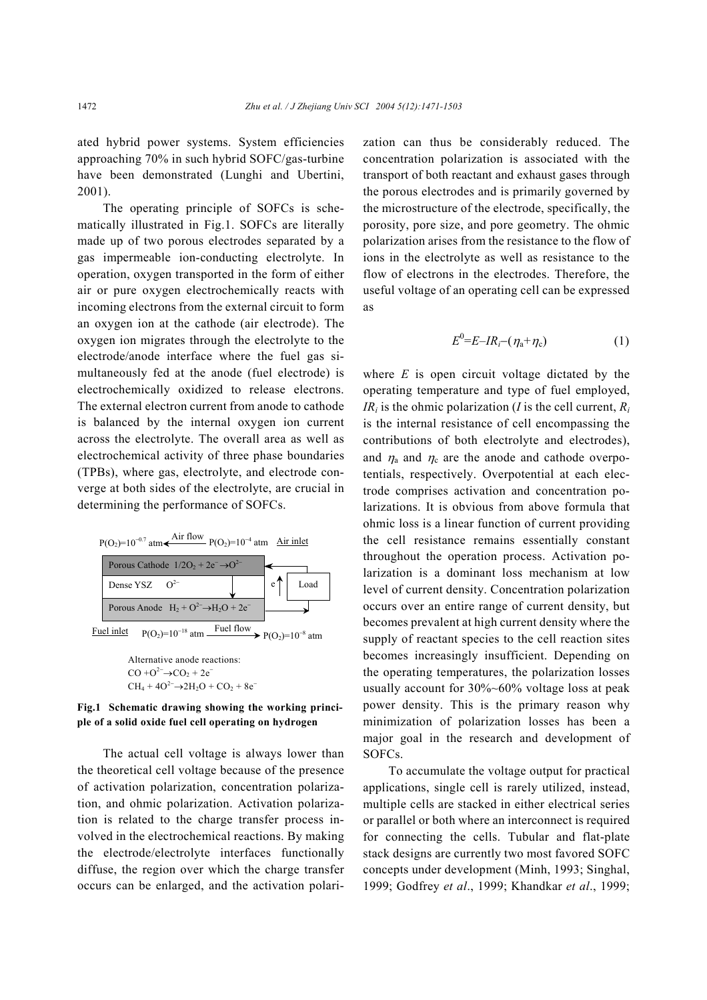ated hybrid power systems. System efficiencies approaching 70% in such hybrid SOFC/gas-turbine have been demonstrated (Lunghi and Ubertini, 2001).

The operating principle of SOFCs is schematically illustrated in Fig.1. SOFCs are literally made up of two porous electrodes separated by a gas impermeable ion-conducting electrolyte. In operation, oxygen transported in the form of either air or pure oxygen electrochemically reacts with incoming electrons from the external circuit to form an oxygen ion at the cathode (air electrode). The oxygen ion migrates through the electrolyte to the electrode/anode interface where the fuel gas simultaneously fed at the anode (fuel electrode) is electrochemically oxidized to release electrons. The external electron current from anode to cathode is balanced by the internal oxygen ion current across the electrolyte. The overall area as well as electrochemical activity of three phase boundaries (TPBs), where gas, electrolyte, and electrode converge at both sides of the electrolyte, are crucial in determining the performance of SOFCs.





The actual cell voltage is always lower than the theoretical cell voltage because of the presence of activation polarization, concentration polarization, and ohmic polarization. Activation polarization is related to the charge transfer process involved in the electrochemical reactions. By making the electrode/electrolyte interfaces functionally diffuse, the region over which the charge transfer occurs can be enlarged, and the activation polarization can thus be considerably reduced. The concentration polarization is associated with the transport of both reactant and exhaust gases through the porous electrodes and is primarily governed by the microstructure of the electrode, specifically, the porosity, pore size, and pore geometry. The ohmic polarization arises from the resistance to the flow of ions in the electrolyte as well as resistance to the flow of electrons in the electrodes. Therefore, the useful voltage of an operating cell can be expressed as

$$
E^{0} = E - IR_{i} - (\eta_{a} + \eta_{c})
$$
 (1)

where *E* is open circuit voltage dictated by the operating temperature and type of fuel employed, *IR<sub>i</sub>* is the ohmic polarization (*I* is the cell current,  $R_i$ is the internal resistance of cell encompassing the contributions of both electrolyte and electrodes), and  $\eta_a$  and  $\eta_c$  are the anode and cathode overpotentials, respectively. Overpotential at each electrode comprises activation and concentration polarizations. It is obvious from above formula that ohmic loss is a linear function of current providing the cell resistance remains essentially constant throughout the operation process. Activation polarization is a dominant loss mechanism at low level of current density. Concentration polarization occurs over an entire range of current density, but becomes prevalent at high current density where the supply of reactant species to the cell reaction sites becomes increasingly insufficient. Depending on the operating temperatures, the polarization losses usually account for 30%~60% voltage loss at peak power density. This is the primary reason why minimization of polarization losses has been a major goal in the research and development of SOFCs.

To accumulate the voltage output for practical applications, single cell is rarely utilized, instead, multiple cells are stacked in either electrical series or parallel or both where an interconnect is required for connecting the cells. Tubular and flat-plate stack designs are currently two most favored SOFC concepts under development (Minh, 1993; Singhal, 1999; Godfrey *et al*., 1999; Khandkar *et al*., 1999;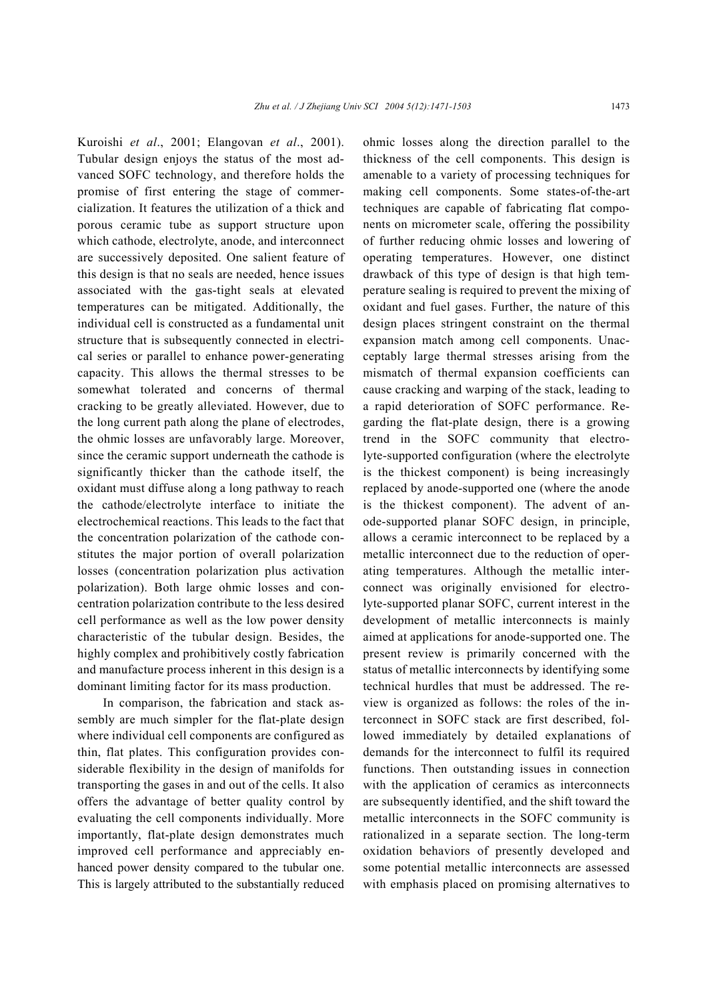*Zhu et al. / J Zhejiang Univ SCI 2004 5(12):1471-1503* 1473

Kuroishi *et al*., 2001; Elangovan *et al*., 2001). Tubular design enjoys the status of the most advanced SOFC technology, and therefore holds the promise of first entering the stage of commercialization. It features the utilization of a thick and porous ceramic tube as support structure upon which cathode, electrolyte, anode, and interconnect are successively deposited. One salient feature of this design is that no seals are needed, hence issues associated with the gas-tight seals at elevated temperatures can be mitigated. Additionally, the individual cell is constructed as a fundamental unit structure that is subsequently connected in electrical series or parallel to enhance power-generating capacity. This allows the thermal stresses to be somewhat tolerated and concerns of thermal cracking to be greatly alleviated. However, due to the long current path along the plane of electrodes, the ohmic losses are unfavorably large. Moreover, since the ceramic support underneath the cathode is significantly thicker than the cathode itself, the oxidant must diffuse along a long pathway to reach the cathode/electrolyte interface to initiate the electrochemical reactions. This leads to the fact that the concentration polarization of the cathode constitutes the major portion of overall polarization losses (concentration polarization plus activation polarization). Both large ohmic losses and concentration polarization contribute to the less desired cell performance as well as the low power density characteristic of the tubular design. Besides, the highly complex and prohibitively costly fabrication and manufacture process inherent in this design is a dominant limiting factor for its mass production.

In comparison, the fabrication and stack assembly are much simpler for the flat-plate design where individual cell components are configured as thin, flat plates. This configuration provides considerable flexibility in the design of manifolds for transporting the gases in and out of the cells. It also offers the advantage of better quality control by evaluating the cell components individually. More importantly, flat-plate design demonstrates much improved cell performance and appreciably enhanced power density compared to the tubular one. This is largely attributed to the substantially reduced ohmic losses along the direction parallel to the thickness of the cell components. This design is amenable to a variety of processing techniques for making cell components. Some states-of-the-art techniques are capable of fabricating flat components on micrometer scale, offering the possibility of further reducing ohmic losses and lowering of operating temperatures. However, one distinct drawback of this type of design is that high temperature sealing is required to prevent the mixing of oxidant and fuel gases. Further, the nature of this design places stringent constraint on the thermal expansion match among cell components. Unacceptably large thermal stresses arising from the mismatch of thermal expansion coefficients can cause cracking and warping of the stack, leading to a rapid deterioration of SOFC performance. Regarding the flat-plate design, there is a growing trend in the SOFC community that electrolyte-supported configuration (where the electrolyte is the thickest component) is being increasingly replaced by anode-supported one (where the anode is the thickest component). The advent of anode-supported planar SOFC design, in principle, allows a ceramic interconnect to be replaced by a metallic interconnect due to the reduction of operating temperatures. Although the metallic interconnect was originally envisioned for electrolyte-supported planar SOFC, current interest in the development of metallic interconnects is mainly aimed at applications for anode-supported one. The present review is primarily concerned with the status of metallic interconnects by identifying some technical hurdles that must be addressed. The review is organized as follows: the roles of the interconnect in SOFC stack are first described, followed immediately by detailed explanations of demands for the interconnect to fulfil its required functions. Then outstanding issues in connection with the application of ceramics as interconnects are subsequently identified, and the shift toward the metallic interconnects in the SOFC community is rationalized in a separate section. The long-term oxidation behaviors of presently developed and some potential metallic interconnects are assessed with emphasis placed on promising alternatives to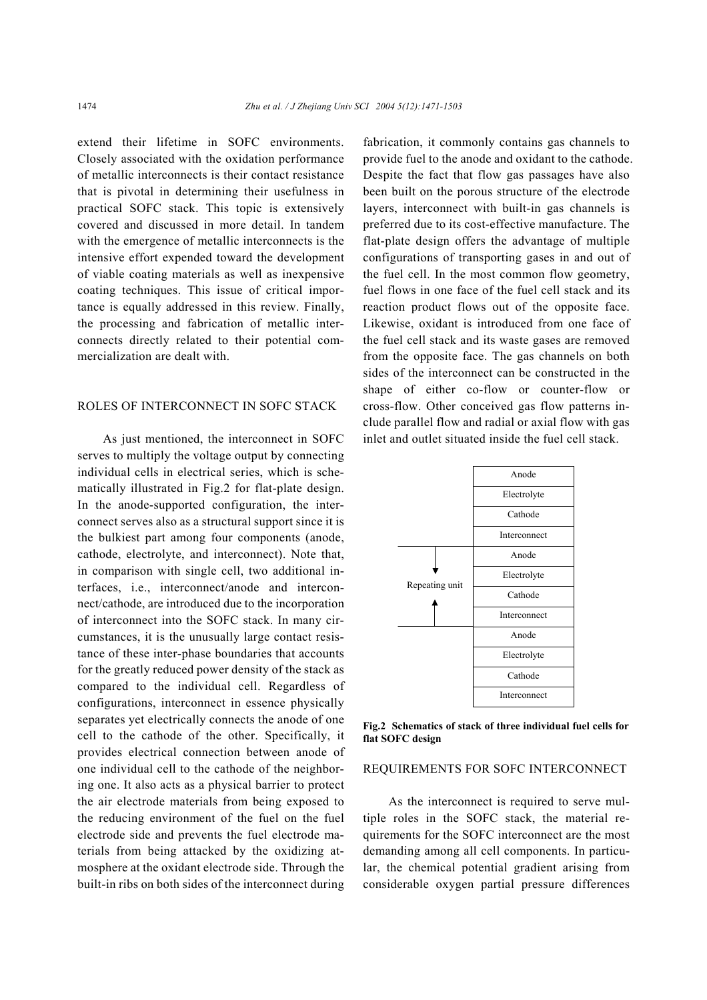extend their lifetime in SOFC environments. Closely associated with the oxidation performance of metallic interconnects is their contact resistance that is pivotal in determining their usefulness in practical SOFC stack. This topic is extensively covered and discussed in more detail. In tandem with the emergence of metallic interconnects is the intensive effort expended toward the development of viable coating materials as well as inexpensive coating techniques. This issue of critical importance is equally addressed in this review. Finally, the processing and fabrication of metallic interconnects directly related to their potential commercialization are dealt with.

## ROLES OF INTERCONNECT IN SOFC STACK

As just mentioned, the interconnect in SOFC serves to multiply the voltage output by connecting individual cells in electrical series, which is schematically illustrated in Fig.2 for flat-plate design. In the anode-supported configuration, the interconnect serves also as a structural support since it is the bulkiest part among four components (anode, cathode, electrolyte, and interconnect). Note that, in comparison with single cell, two additional interfaces, i.e., interconnect/anode and interconnect/cathode, are introduced due to the incorporation of interconnect into the SOFC stack. In many circumstances, it is the unusually large contact resistance of these inter-phase boundaries that accounts for the greatly reduced power density of the stack as compared to the individual cell. Regardless of configurations, interconnect in essence physically separates yet electrically connects the anode of one cell to the cathode of the other. Specifically, it provides electrical connection between anode of one individual cell to the cathode of the neighboring one. It also acts as a physical barrier to protect the air electrode materials from being exposed to the reducing environment of the fuel on the fuel electrode side and prevents the fuel electrode materials from being attacked by the oxidizing atmosphere at the oxidant electrode side. Through the built-in ribs on both sides of the interconnect during

fabrication, it commonly contains gas channels to provide fuel to the anode and oxidant to the cathode. Despite the fact that flow gas passages have also been built on the porous structure of the electrode layers, interconnect with built-in gas channels is preferred due to its cost-effective manufacture. The flat-plate design offers the advantage of multiple configurations of transporting gases in and out of the fuel cell. In the most common flow geometry, fuel flows in one face of the fuel cell stack and its reaction product flows out of the opposite face. Likewise, oxidant is introduced from one face of the fuel cell stack and its waste gases are removed from the opposite face. The gas channels on both sides of the interconnect can be constructed in the shape of either co-flow or counter-flow or cross-flow. Other conceived gas flow patterns include parallel flow and radial or axial flow with gas inlet and outlet situated inside the fuel cell stack.



**Fig.2 Schematics of stack of three individual fuel cells for flat SOFC design** 

#### REQUIREMENTS FOR SOFC INTERCONNECT

As the interconnect is required to serve multiple roles in the SOFC stack, the material requirements for the SOFC interconnect are the most demanding among all cell components. In particular, the chemical potential gradient arising from considerable oxygen partial pressure differences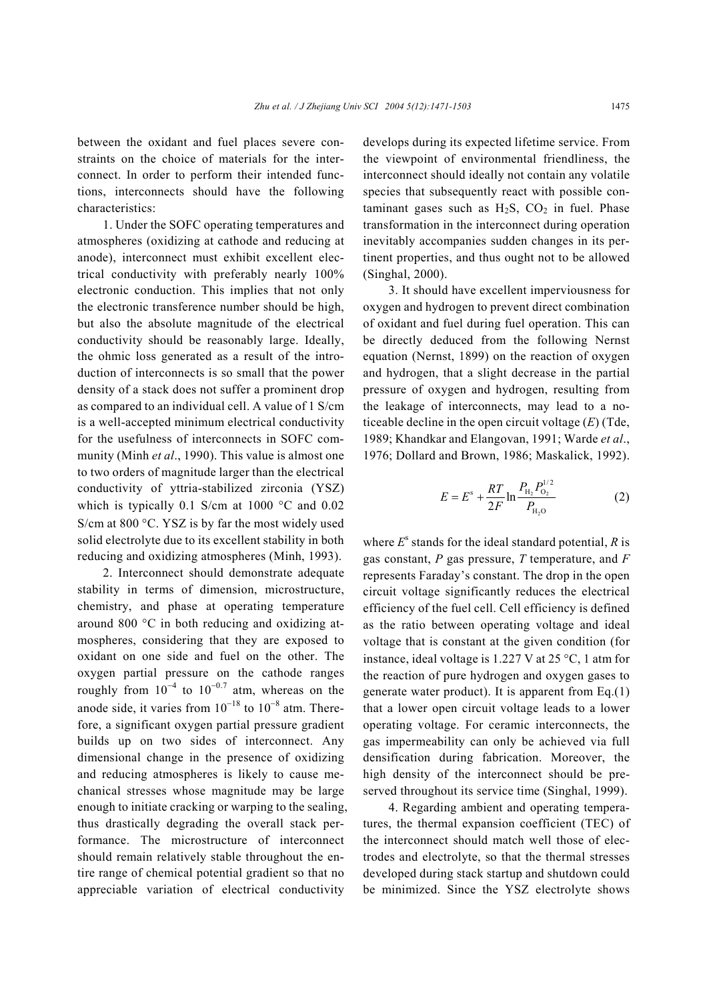between the oxidant and fuel places severe constraints on the choice of materials for the interconnect. In order to perform their intended functions, interconnects should have the following characteristics:

1. Under the SOFC operating temperatures and atmospheres (oxidizing at cathode and reducing at anode), interconnect must exhibit excellent electrical conductivity with preferably nearly 100% electronic conduction. This implies that not only the electronic transference number should be high, but also the absolute magnitude of the electrical conductivity should be reasonably large. Ideally, the ohmic loss generated as a result of the introduction of interconnects is so small that the power density of a stack does not suffer a prominent drop as compared to an individual cell. A value of 1 S/cm is a well-accepted minimum electrical conductivity for the usefulness of interconnects in SOFC community (Minh *et al*., 1990). This value is almost one to two orders of magnitude larger than the electrical conductivity of yttria-stabilized zirconia (YSZ) which is typically 0.1 S/cm at 1000 °C and 0.02 S/cm at 800 °C. YSZ is by far the most widely used solid electrolyte due to its excellent stability in both reducing and oxidizing atmospheres (Minh, 1993).

2. Interconnect should demonstrate adequate stability in terms of dimension, microstructure, chemistry, and phase at operating temperature around 800 °C in both reducing and oxidizing atmospheres, considering that they are exposed to oxidant on one side and fuel on the other. The oxygen partial pressure on the cathode ranges roughly from  $10^{-4}$  to  $10^{-0.7}$  atm, whereas on the anode side, it varies from  $10^{-18}$  to  $10^{-8}$  atm. Therefore, a significant oxygen partial pressure gradient builds up on two sides of interconnect. Any dimensional change in the presence of oxidizing and reducing atmospheres is likely to cause mechanical stresses whose magnitude may be large enough to initiate cracking or warping to the sealing, thus drastically degrading the overall stack performance. The microstructure of interconnect should remain relatively stable throughout the entire range of chemical potential gradient so that no appreciable variation of electrical conductivity

develops during its expected lifetime service. From the viewpoint of environmental friendliness, the interconnect should ideally not contain any volatile species that subsequently react with possible contaminant gases such as  $H_2S$ ,  $CO_2$  in fuel. Phase transformation in the interconnect during operation inevitably accompanies sudden changes in its pertinent properties, and thus ought not to be allowed (Singhal, 2000).

3. It should have excellent imperviousness for oxygen and hydrogen to prevent direct combination of oxidant and fuel during fuel operation. This can be directly deduced from the following Nernst equation (Nernst, 1899) on the reaction of oxygen and hydrogen, that a slight decrease in the partial pressure of oxygen and hydrogen, resulting from the leakage of interconnects, may lead to a noticeable decline in the open circuit voltage (*E*) (Tde, 1989; Khandkar and Elangovan, 1991; Warde *et al*., 1976; Dollard and Brown, 1986; Maskalick, 1992).

$$
E = Es + \frac{RT}{2F} \ln \frac{P_{\text{H}_2} P_{\text{O}_2}^{1/2}}{P_{\text{H},\text{O}}}
$$
 (2)

where  $E^s$  stands for the ideal standard potential,  $R$  is gas constant, *P* gas pressure, *T* temperature, and *F* represents Faraday's constant. The drop in the open circuit voltage significantly reduces the electrical efficiency of the fuel cell. Cell efficiency is defined as the ratio between operating voltage and ideal voltage that is constant at the given condition (for instance, ideal voltage is 1.227 V at 25 °C, 1 atm for the reaction of pure hydrogen and oxygen gases to generate water product). It is apparent from Eq.(1) that a lower open circuit voltage leads to a lower operating voltage. For ceramic interconnects, the gas impermeability can only be achieved via full densification during fabrication. Moreover, the high density of the interconnect should be preserved throughout its service time (Singhal, 1999).

4. Regarding ambient and operating temperatures, the thermal expansion coefficient (TEC) of the interconnect should match well those of electrodes and electrolyte, so that the thermal stresses developed during stack startup and shutdown could be minimized. Since the YSZ electrolyte shows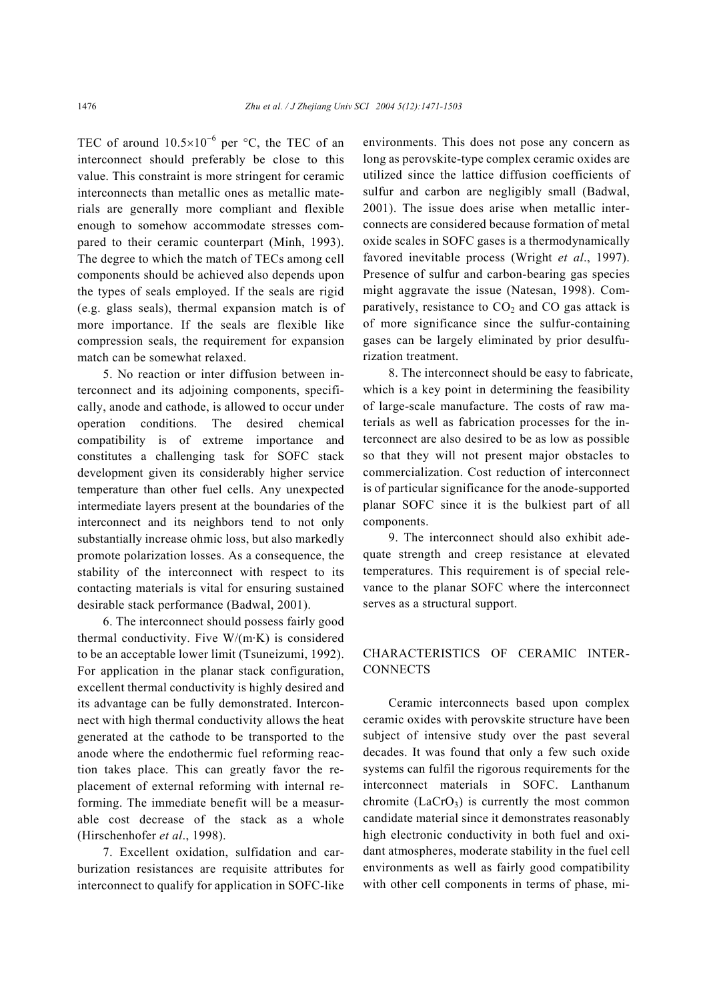TEC of around  $10.5 \times 10^{-6}$  per °C, the TEC of an interconnect should preferably be close to this value. This constraint is more stringent for ceramic interconnects than metallic ones as metallic materials are generally more compliant and flexible enough to somehow accommodate stresses compared to their ceramic counterpart (Minh, 1993). The degree to which the match of TECs among cell components should be achieved also depends upon the types of seals employed. If the seals are rigid (e.g. glass seals), thermal expansion match is of more importance. If the seals are flexible like compression seals, the requirement for expansion match can be somewhat relaxed.

5. No reaction or inter diffusion between interconnect and its adjoining components, specifically, anode and cathode, is allowed to occur under operation conditions. The desired chemical compatibility is of extreme importance and constitutes a challenging task for SOFC stack development given its considerably higher service temperature than other fuel cells. Any unexpected intermediate layers present at the boundaries of the interconnect and its neighbors tend to not only substantially increase ohmic loss, but also markedly promote polarization losses. As a consequence, the stability of the interconnect with respect to its contacting materials is vital for ensuring sustained desirable stack performance (Badwal, 2001).

6. The interconnect should possess fairly good thermal conductivity. Five W/(m·K) is considered to be an acceptable lower limit (Tsuneizumi, 1992). For application in the planar stack configuration, excellent thermal conductivity is highly desired and its advantage can be fully demonstrated. Interconnect with high thermal conductivity allows the heat generated at the cathode to be transported to the anode where the endothermic fuel reforming reaction takes place. This can greatly favor the replacement of external reforming with internal reforming. The immediate benefit will be a measurable cost decrease of the stack as a whole (Hirschenhofer *et al*., 1998).

7. Excellent oxidation, sulfidation and carburization resistances are requisite attributes for interconnect to qualify for application in SOFC-like environments. This does not pose any concern as long as perovskite-type complex ceramic oxides are utilized since the lattice diffusion coefficients of sulfur and carbon are negligibly small (Badwal, 2001). The issue does arise when metallic interconnects are considered because formation of metal oxide scales in SOFC gases is a thermodynamically favored inevitable process (Wright *et al*., 1997). Presence of sulfur and carbon-bearing gas species might aggravate the issue (Natesan, 1998). Comparatively, resistance to  $CO<sub>2</sub>$  and  $CO$  gas attack is of more significance since the sulfur-containing gases can be largely eliminated by prior desulfurization treatment.

8. The interconnect should be easy to fabricate, which is a key point in determining the feasibility of large-scale manufacture. The costs of raw materials as well as fabrication processes for the interconnect are also desired to be as low as possible so that they will not present major obstacles to commercialization. Cost reduction of interconnect is of particular significance for the anode-supported planar SOFC since it is the bulkiest part of all components.

9. The interconnect should also exhibit adequate strength and creep resistance at elevated temperatures. This requirement is of special relevance to the planar SOFC where the interconnect serves as a structural support.

## CHARACTERISTICS OF CERAMIC INTER-**CONNECTS**

Ceramic interconnects based upon complex ceramic oxides with perovskite structure have been subject of intensive study over the past several decades. It was found that only a few such oxide systems can fulfil the rigorous requirements for the interconnect materials in SOFC. Lanthanum chromite  $(LaCrO<sub>3</sub>)$  is currently the most common candidate material since it demonstrates reasonably high electronic conductivity in both fuel and oxidant atmospheres, moderate stability in the fuel cell environments as well as fairly good compatibility with other cell components in terms of phase, mi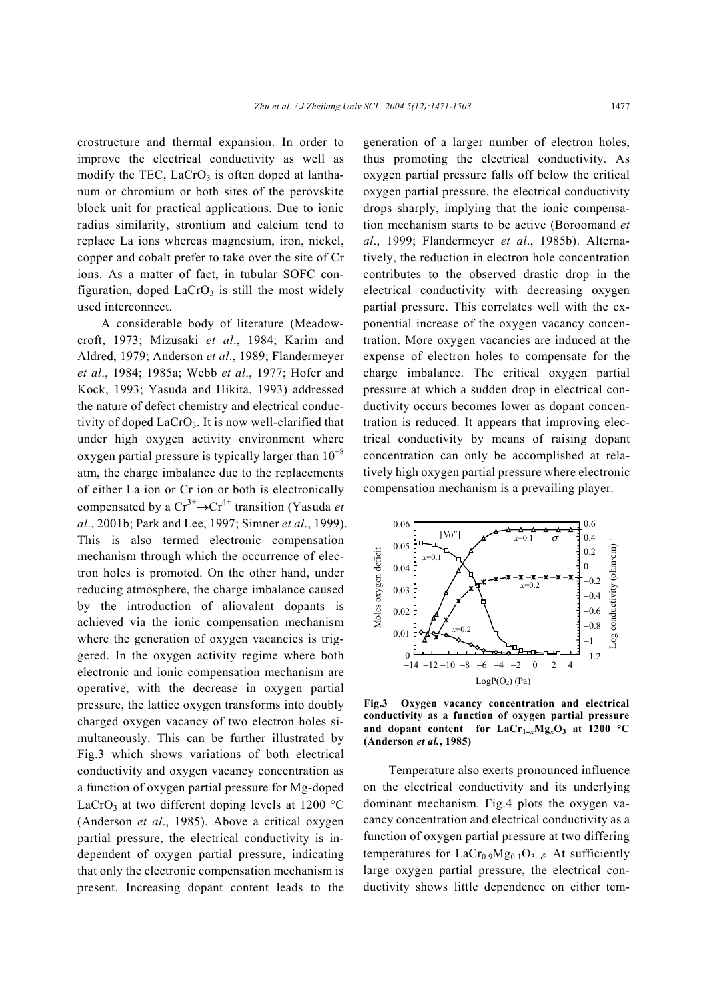crostructure and thermal expansion. In order to improve the electrical conductivity as well as modify the TEC,  $LaCrO<sub>3</sub>$  is often doped at lanthanum or chromium or both sites of the perovskite block unit for practical applications. Due to ionic radius similarity, strontium and calcium tend to replace La ions whereas magnesium, iron, nickel, copper and cobalt prefer to take over the site of Cr ions. As a matter of fact, in tubular SOFC configuration, doped  $LaCrO<sub>3</sub>$  is still the most widely used interconnect.

A considerable body of literature (Meadowcroft, 1973; Mizusaki *et al*., 1984; Karim and Aldred, 1979; Anderson *et al*., 1989; Flandermeyer *et al*., 1984; 1985a; Webb *et al*., 1977; Hofer and Kock, 1993; Yasuda and Hikita, 1993) addressed the nature of defect chemistry and electrical conductivity of doped  $LaCrO<sub>3</sub>$ . It is now well-clarified that under high oxygen activity environment where oxygen partial pressure is typically larger than  $10^{-8}$ atm, the charge imbalance due to the replacements of either La ion or Cr ion or both is electronically compensated by a  $Cr^{3+} \rightarrow Cr^{4+}$  transition (Yasuda *et*) *al*., 2001b; Park and Lee, 1997; Simner *et al*., 1999). This is also termed electronic compensation mechanism through which the occurrence of electron holes is promoted. On the other hand, under reducing atmosphere, the charge imbalance caused by the introduction of aliovalent dopants is achieved via the ionic compensation mechanism where the generation of oxygen vacancies is triggered. In the oxygen activity regime where both electronic and ionic compensation mechanism are operative, with the decrease in oxygen partial pressure, the lattice oxygen transforms into doubly charged oxygen vacancy of two electron holes simultaneously. This can be further illustrated by Fig.3 which shows variations of both electrical conductivity and oxygen vacancy concentration as a function of oxygen partial pressure for Mg-doped LaCrO<sub>3</sub> at two different doping levels at 1200  $^{\circ}$ C (Anderson *et al*., 1985). Above a critical oxygen partial pressure, the electrical conductivity is independent of oxygen partial pressure, indicating that only the electronic compensation mechanism is present. Increasing dopant content leads to the

generation of a larger number of electron holes, thus promoting the electrical conductivity. As oxygen partial pressure falls off below the critical oxygen partial pressure, the electrical conductivity drops sharply, implying that the ionic compensation mechanism starts to be active (Boroomand *et al*., 1999; Flandermeyer *et al*., 1985b). Alternatively, the reduction in electron hole concentration contributes to the observed drastic drop in the electrical conductivity with decreasing oxygen partial pressure. This correlates well with the exponential increase of the oxygen vacancy concentration. More oxygen vacancies are induced at the expense of electron holes to compensate for the charge imbalance. The critical oxygen partial pressure at which a sudden drop in electrical conductivity occurs becomes lower as dopant concentration is reduced. It appears that improving electrical conductivity by means of raising dopant concentration can only be accomplished at relatively high oxygen partial pressure where electronic compensation mechanism is a prevailing player.



**Fig.3 Oxygen vacancy concentration and electrical conductivity as a function of oxygen partial pressure** and dopant content for LaCr<sub>1−*x*</sub>**Mg<sub>***x***</sub>O<sub>3</sub> at 1200 °C (Anderson** *et al.***, 1985)**

Temperature also exerts pronounced influence on the electrical conductivity and its underlying dominant mechanism. Fig.4 plots the oxygen vacancy concentration and electrical conductivity as a function of oxygen partial pressure at two differing temperatures for LaCr<sub>0.9</sub>Mg<sub>0.1</sub>O<sub>3−δ</sub>. At sufficiently large oxygen partial pressure, the electrical conductivity shows little dependence on either tem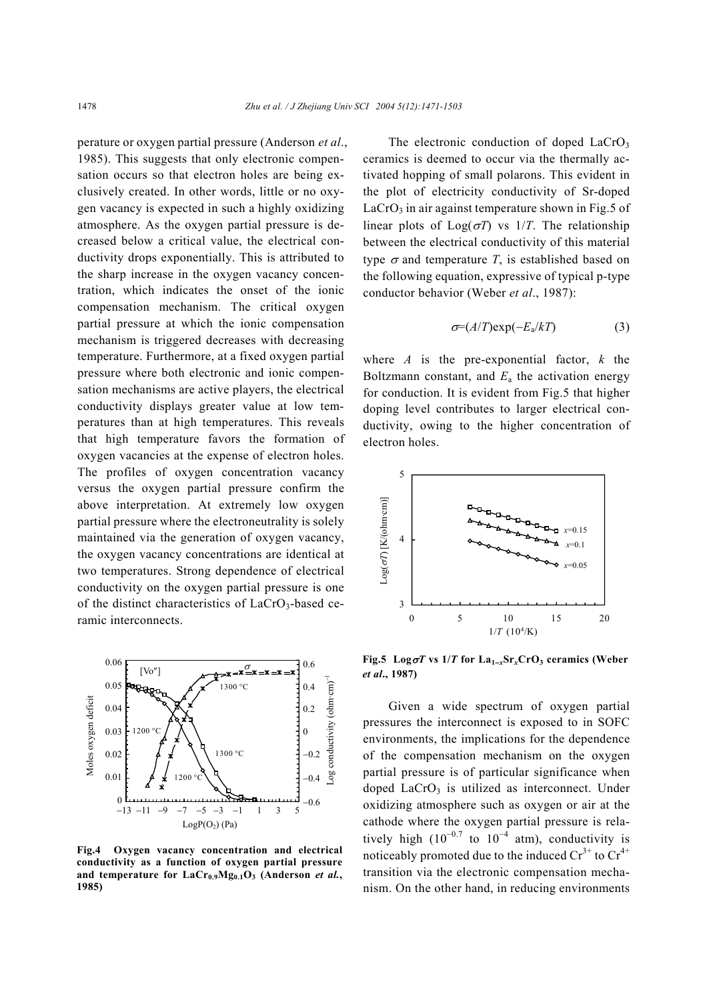perature or oxygen partial pressure (Anderson *et al*., 1985). This suggests that only electronic compensation occurs so that electron holes are being exclusively created. In other words, little or no oxygen vacancy is expected in such a highly oxidizing atmosphere. As the oxygen partial pressure is decreased below a critical value, the electrical conductivity drops exponentially. This is attributed to the sharp increase in the oxygen vacancy concentration, which indicates the onset of the ionic compensation mechanism. The critical oxygen partial pressure at which the ionic compensation mechanism is triggered decreases with decreasing temperature. Furthermore, at a fixed oxygen partial pressure where both electronic and ionic compensation mechanisms are active players, the electrical conductivity displays greater value at low temperatures than at high temperatures. This reveals that high temperature favors the formation of oxygen vacancies at the expense of electron holes. The profiles of oxygen concentration vacancy versus the oxygen partial pressure confirm the above interpretation. At extremely low oxygen partial pressure where the electroneutrality is solely maintained via the generation of oxygen vacancy, the oxygen vacancy concentrations are identical at two temperatures. Strong dependence of electrical conductivity on the oxygen partial pressure is one of the distinct characteristics of LaCrO<sub>3</sub>-based ceramic interconnects.



**Fig.4 Oxygen vacancy concentration and electrical conductivity as a function of oxygen partial pressure** and temperature for LaCr<sub>0.9</sub>Mg<sub>0.1</sub>O<sub>3</sub> (Anderson *et al.*, **1985)** 

The electronic conduction of doped  $LaCrO<sub>3</sub>$ ceramics is deemed to occur via the thermally activated hopping of small polarons. This evident in the plot of electricity conductivity of Sr-doped  $LaCrO<sub>3</sub>$  in air against temperature shown in Fig.5 of linear plots of  $Log(\sigma T)$  vs  $1/T$ . The relationship between the electrical conductivity of this material type  $\sigma$  and temperature *T*, is established based on the following equation, expressive of typical p-type conductor behavior (Weber *et al*., 1987):

$$
\sigma = (A/T) \exp(-E_a/kT) \tag{3}
$$

where *A* is the pre-exponential factor, *k* the Boltzmann constant, and *E*a the activation energy for conduction. It is evident from Fig.5 that higher doping level contributes to larger electrical conductivity, owing to the higher concentration of electron holes.



**Fig.5** Log $\sigma T$  vs  $1/T$  for La<sub>1−*x*</sub>Sr<sub>*x*</sub>CrO<sub>3</sub> ceramics (Weber *et al***., 1987)** 

Given a wide spectrum of oxygen partial pressures the interconnect is exposed to in SOFC environments, the implications for the dependence of the compensation mechanism on the oxygen partial pressure is of particular significance when doped  $LaCrO<sub>3</sub>$  is utilized as interconnect. Under oxidizing atmosphere such as oxygen or air at the cathode where the oxygen partial pressure is relatively high  $(10^{-0.7} \text{ to } 10^{-4} \text{ atm})$ , conductivity is noticeably promoted due to the induced  $Cr^{3+}$  to  $Cr^{4+}$ transition via the electronic compensation mechanism. On the other hand, in reducing environments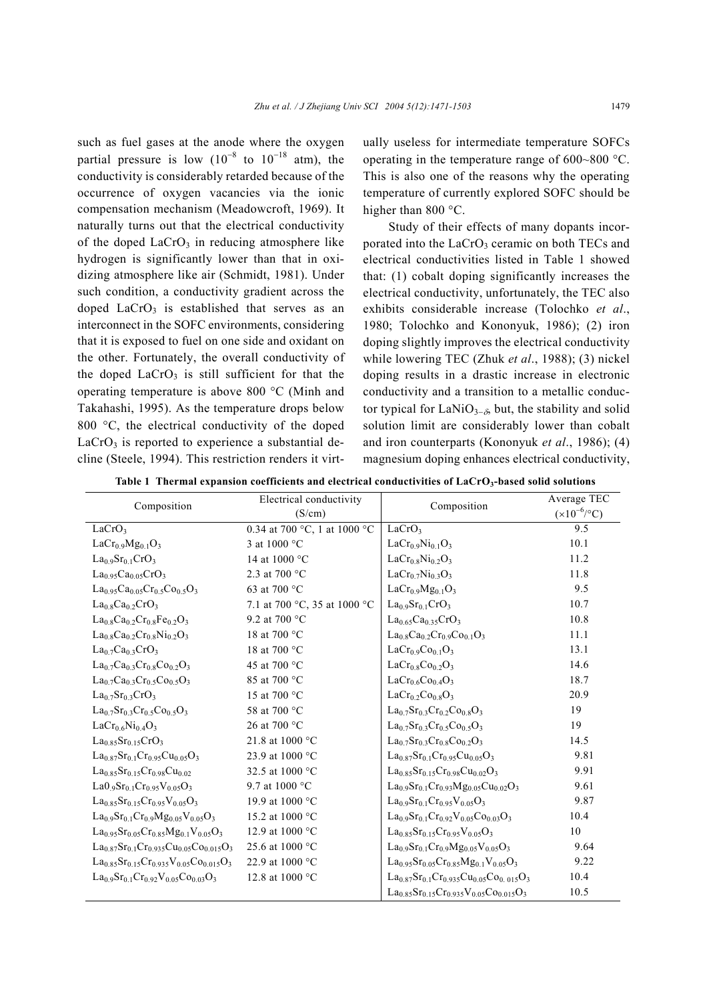such as fuel gases at the anode where the oxygen partial pressure is low  $(10^{-8} \text{ to } 10^{-18} \text{ atm})$ , the conductivity is considerably retarded because of the occurrence of oxygen vacancies via the ionic compensation mechanism (Meadowcroft, 1969). It naturally turns out that the electrical conductivity of the doped  $LaCrO<sub>3</sub>$  in reducing atmosphere like hydrogen is significantly lower than that in oxidizing atmosphere like air (Schmidt, 1981). Under such condition, a conductivity gradient across the doped  $LaCrO<sub>3</sub>$  is established that serves as an interconnect in the SOFC environments, considering that it is exposed to fuel on one side and oxidant on the other. Fortunately, the overall conductivity of the doped  $LaCrO<sub>3</sub>$  is still sufficient for that the operating temperature is above 800 °C (Minh and Takahashi, 1995). As the temperature drops below 800 °C, the electrical conductivity of the doped  $LaCrO<sub>3</sub>$  is reported to experience a substantial decline (Steele, 1994). This restriction renders it virtually useless for intermediate temperature SOFCs operating in the temperature range of 600~800 °C. This is also one of the reasons why the operating temperature of currently explored SOFC should be higher than 800 °C.

Study of their effects of many dopants incorporated into the  $LaCrO<sub>3</sub>$  ceramic on both TECs and electrical conductivities listed in Table 1 showed that: (1) cobalt doping significantly increases the electrical conductivity, unfortunately, the TEC also exhibits considerable increase (Tolochko *et al*., 1980; Tolochko and Kononyuk, 1986); (2) iron doping slightly improves the electrical conductivity while lowering TEC (Zhuk *et al*., 1988); (3) nickel doping results in a drastic increase in electronic conductivity and a transition to a metallic conductor typical for LaNiO<sub>3−δ</sub>, but, the stability and solid solution limit are considerably lower than cobalt and iron counterparts (Kononyuk *et al*., 1986); (4) magnesium doping enhances electrical conductivity,

|  |  |  | Table 1 $\,$ Thermal expansion coefficients and electrical conductivities of $\rm LaCrO_3$ -based solid solutions |  |  |  |  |  |  |
|--|--|--|-------------------------------------------------------------------------------------------------------------------|--|--|--|--|--|--|
|--|--|--|-------------------------------------------------------------------------------------------------------------------|--|--|--|--|--|--|

|                                                                            | Electrical conductivity      |                                                     | Average TEC            |
|----------------------------------------------------------------------------|------------------------------|-----------------------------------------------------|------------------------|
| Composition                                                                | (S/cm)                       | Composition                                         | $(x10^{-6}/^{\circ}C)$ |
| LaCrO <sub>3</sub>                                                         | 0.34 at 700 °C, 1 at 1000 °C | LaCrO <sub>3</sub>                                  | 9.5                    |
| $LaCr0.9Mg0.1O3$                                                           | 3 at 1000 °C                 | $LaCr_{0.9}Ni_{0.1}O_3$                             | 10.1                   |
| $La0.9Sr0.1CrO3$                                                           | 14 at 1000 °C                | $LaCr_{0.8}Ni_{0.2}O_3$                             | 11.2                   |
| $La_{0.95}Ca_{0.05}CrO_3$                                                  | 2.3 at 700 °C                | $LaCr_{0.7}Ni_{0.3}O_3$                             | 11.8                   |
| $La_{0.95}Ca_{0.05}Cr_{0.5}Co_{0.5}O_3$                                    | 63 at 700 °C                 | $LaCr_{0.9}Mg_{0.1}O_3$                             | 9.5                    |
| $La_{0.8}Ca_{0.2}CrO_3$                                                    | 7.1 at 700 °C, 35 at 1000 °C | $La0.9Sr0.1CrO3$                                    | 10.7                   |
| $La_{0.8}Ca_{0.2}Cr_{0.8}Fe_{0.2}O_3$                                      | 9.2 at 700 °C                | $La_{0.65}Ca_{0.35}CrO_3$                           | 10.8                   |
| $La_{0.8}Ca_{0.2}Cr_{0.8}Ni_{0.2}O_3$                                      | 18 at 700 °C                 | $La_{0.8}Ca_{0.2}Cr_{0.9}Co_{0.1}O_3$               | 11.1                   |
| $La_{0.7}Ca_{0.3}CrO_3$                                                    | 18 at 700 °C                 | $LaCr0.9Co0.1O3$                                    | 13.1                   |
| $La_{0.7}Ca_{0.3}Cr_{0.8}Co_{0.2}O_3$                                      | 45 at 700 °C                 | $LaCr0.8Co0.2O3$                                    | 14.6                   |
| $La_{0.7}Ca_{0.3}Cr_{0.5}Co_{0.5}O_3$                                      | 85 at 700 °C                 | $LaCr_{0.6}Co_{0.4}O_3$                             | 18.7                   |
| $La_{0.7}Sr_{0.3}CrO_3$                                                    | 15 at 700 °C                 | $LaCr_{0.2}Co_{0.8}O_3$                             | 20.9                   |
| $La_{0.7}Sr_{0.3}Cr_{0.5}Co_{0.5}O_3$                                      | 58 at 700 °C                 | $La_{0.7}Sr_{0.3}Cr_{0.2}Co_{0.8}O_3$               | 19                     |
| $LaCr_{0.6}Ni_{0.4}O_3$                                                    | 26 at 700 °C                 | $La_{0.7}Sr_{0.3}Cr_{0.5}Co_{0.5}O_3$               | 19                     |
| $La_{0.85}Sr_{0.15}CrO_3$                                                  | 21.8 at 1000 °C              | $La_{0.7}Sr_{0.3}Cr_{0.8}Co_{0.2}O_3$               | 14.5                   |
| $La_{0.87}Sr_{0.1}Cr_{0.95}Cu_{0.05}O_3$                                   | 23.9 at 1000 °C              | $La_{0.87}Sr_{0.1}Cr_{0.95}Cu_{0.05}O_3$            | 9.81                   |
| $La_{0.85}Sr_{0.15}Cr_{0.98}Cu_{0.02}$                                     | 32.5 at 1000 °C              | $La_{0.85}Sr_{0.15}Cr_{0.98}Cu_{0.02}O_3$           | 9.91                   |
| La0.9Sr <sub>0.1</sub> Cr <sub>0.95</sub> V <sub>0.05</sub> O <sub>3</sub> | 9.7 at 1000 °C               | $La_{0.9}Sr_{0.1}Cr_{0.93}Mg_{0.05}Cu_{0.02}O_3$    | 9.61                   |
| $La_{0.85}Sr_{0.15}Cr_{0.95}V_{0.05}O_3$                                   | 19.9 at 1000 °C              | $La_{0.9}Sr_{0.1}Cr_{0.95}V_{0.05}O_3$              | 9.87                   |
| $La_{0.9}Sr_{0.1}Cr_{0.9}Mg_{0.05}V_{0.05}O_3$                             | 15.2 at 1000 °C              | $La_{0.9}Sr_{0.1}Cr_{0.92}V_{0.05}Co_{0.03}O_3$     | 10.4                   |
| $La_{0.95}Sr_{0.05}Cr_{0.85}Mg_{0.1}V_{0.05}O_3$                           | 12.9 at 1000 °C              | $La_{0.85}Sr_{0.15}Cr_{0.95}V_{0.05}O_3$            | 10                     |
| $La_{0.87}Sr_{0.1}Cr_{0.935}Cu_{0.05}Co_{0.015}O_3$                        | 25.6 at 1000 °C              | $La_{0.9}Sr_{0.1}Cr_{0.9}Mg_{0.05}V_{0.05}O_3$      | 9.64                   |
| $La_{0.85}Sr_{0.15}Cr_{0.935}V_{0.05}Co_{0.015}O_3$                        | 22.9 at 1000 °C              | $La_{0.95}Sr_{0.05}Cr_{0.85}Mg_{0.1}V_{0.05}O_3$    | 9.22                   |
| $La_{0.9}Sr_{0.1}Cr_{0.92}V_{0.05}Co_{0.03}O_3$                            | 12.8 at 1000 °C              | $La_{0.87}Sr_{0.1}Cr_{0.935}Cu_{0.05}Co_{0.015}O_3$ | 10.4                   |
|                                                                            |                              | $La_{0.85}Sr_{0.15}Cr_{0.935}V_{0.05}Co_{0.015}O_3$ | 10.5                   |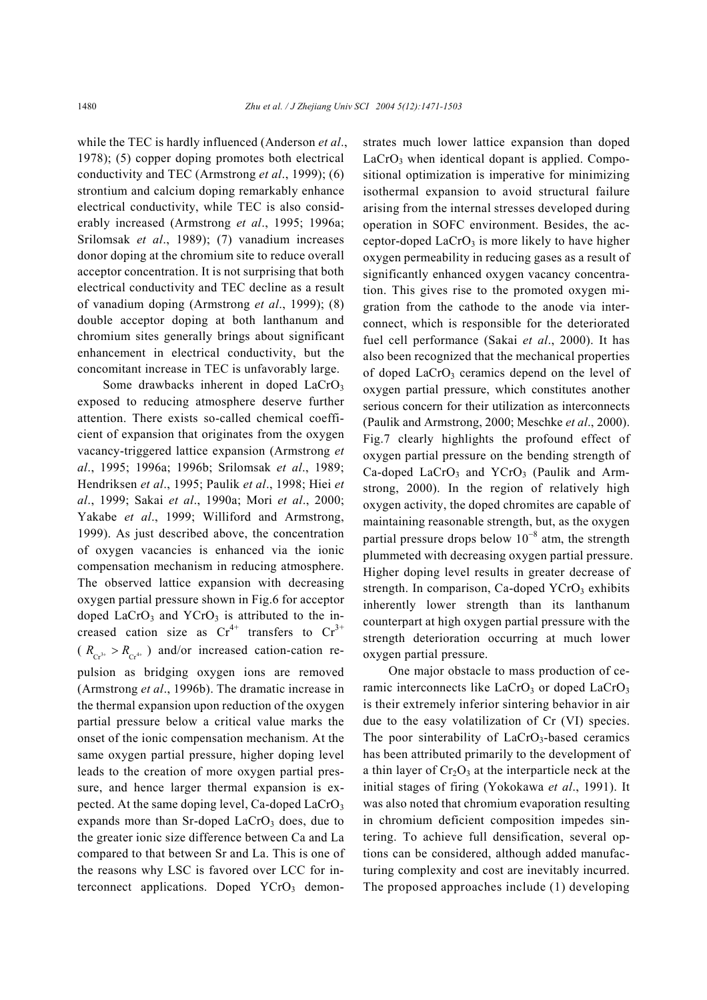while the TEC is hardly influenced (Anderson *et al*., 1978); (5) copper doping promotes both electrical conductivity and TEC (Armstrong *et al*., 1999); (6) strontium and calcium doping remarkably enhance electrical conductivity, while TEC is also considerably increased (Armstrong *et al*., 1995; 1996a; Srilomsak *et al*., 1989); (7) vanadium increases donor doping at the chromium site to reduce overall acceptor concentration. It is not surprising that both electrical conductivity and TEC decline as a result of vanadium doping (Armstrong *et al*., 1999); (8) double acceptor doping at both lanthanum and chromium sites generally brings about significant enhancement in electrical conductivity, but the concomitant increase in TEC is unfavorably large.

Some drawbacks inherent in doped  $LaCrO<sub>3</sub>$ exposed to reducing atmosphere deserve further attention. There exists so-called chemical coefficient of expansion that originates from the oxygen vacancy-triggered lattice expansion (Armstrong *et al*., 1995; 1996a; 1996b; Srilomsak *et al*., 1989; Hendriksen *et al*., 1995; Paulik *et al*., 1998; Hiei *et al*., 1999; Sakai *et al*., 1990a; Mori *et al*., 2000; Yakabe *et al*., 1999; Williford and Armstrong, 1999). As just described above, the concentration of oxygen vacancies is enhanced via the ionic compensation mechanism in reducing atmosphere. The observed lattice expansion with decreasing oxygen partial pressure shown in Fig.6 for acceptor doped  $LaCrO<sub>3</sub>$  and  $YCrO<sub>3</sub>$  is attributed to the increased cation size as  $Cr^{4+}$  transfers to  $Cr^{3+}$  $(R_{Cr^{3+}} > R_{Cr^{4+}})$  and/or increased cation-cation repulsion as bridging oxygen ions are removed (Armstrong *et al*., 1996b). The dramatic increase in the thermal expansion upon reduction of the oxygen partial pressure below a critical value marks the onset of the ionic compensation mechanism. At the same oxygen partial pressure, higher doping level leads to the creation of more oxygen partial pressure, and hence larger thermal expansion is expected. At the same doping level, Ca-doped  $LaCrO<sub>3</sub>$ expands more than Sr-doped  $LaCrO<sub>3</sub>$  does, due to the greater ionic size difference between Ca and La compared to that between Sr and La. This is one of the reasons why LSC is favored over LCC for interconnect applications. Doped  $YCrO<sub>3</sub>$  demonstrates much lower lattice expansion than doped  $LaCrO<sub>3</sub>$  when identical dopant is applied. Compositional optimization is imperative for minimizing isothermal expansion to avoid structural failure arising from the internal stresses developed during operation in SOFC environment. Besides, the acceptor-doped  $LaCrO<sub>3</sub>$  is more likely to have higher oxygen permeability in reducing gases as a result of significantly enhanced oxygen vacancy concentration. This gives rise to the promoted oxygen migration from the cathode to the anode via interconnect, which is responsible for the deteriorated fuel cell performance (Sakai *et al*., 2000). It has also been recognized that the mechanical properties of doped  $LaCrO<sub>3</sub>$  ceramics depend on the level of oxygen partial pressure, which constitutes another serious concern for their utilization as interconnects (Paulik and Armstrong, 2000; Meschke *et al*., 2000). Fig.7 clearly highlights the profound effect of oxygen partial pressure on the bending strength of Ca-doped LaCrO<sub>3</sub> and YCrO<sub>3</sub> (Paulik and Armstrong, 2000). In the region of relatively high oxygen activity, the doped chromites are capable of maintaining reasonable strength, but, as the oxygen partial pressure drops below  $10^{-8}$  atm, the strength plummeted with decreasing oxygen partial pressure. Higher doping level results in greater decrease of strength. In comparison, Ca-doped YCrO<sub>3</sub> exhibits inherently lower strength than its lanthanum counterpart at high oxygen partial pressure with the strength deterioration occurring at much lower oxygen partial pressure.

One major obstacle to mass production of ceramic interconnects like  $LaCrO<sub>3</sub>$  or doped  $LaCrO<sub>3</sub>$ is their extremely inferior sintering behavior in air due to the easy volatilization of Cr (VI) species. The poor sinterability of  $LaCrO<sub>3</sub>$ -based ceramics has been attributed primarily to the development of a thin layer of  $Cr_2O_3$  at the interparticle neck at the initial stages of firing (Yokokawa *et al*., 1991). It was also noted that chromium evaporation resulting in chromium deficient composition impedes sintering. To achieve full densification, several options can be considered, although added manufacturing complexity and cost are inevitably incurred. The proposed approaches include (1) developing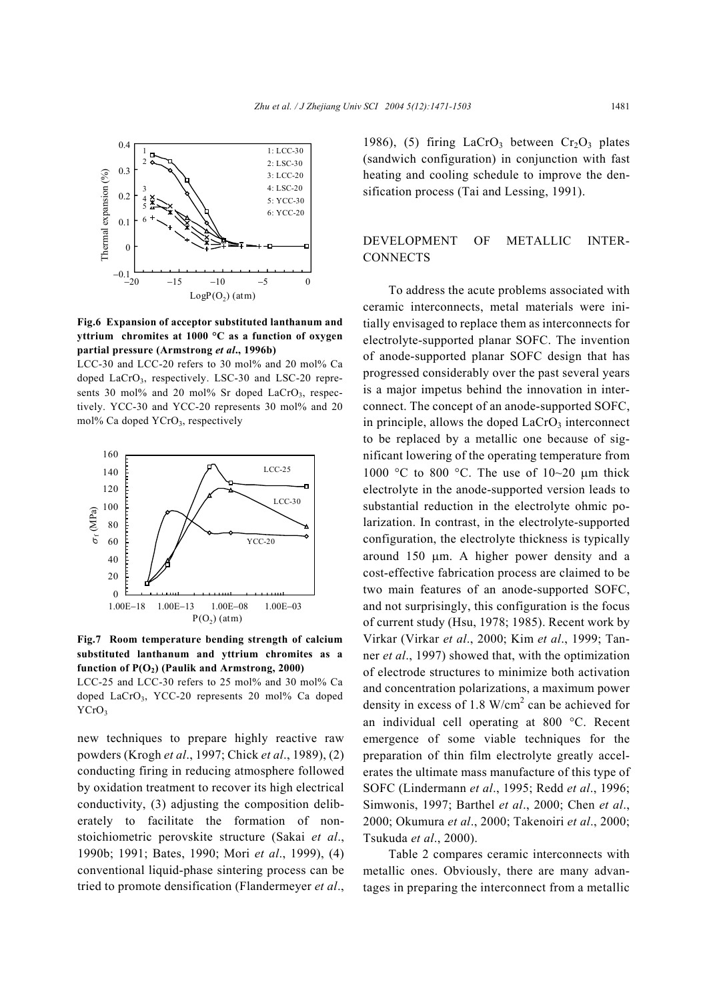

**Fig.6 Expansion of acceptor substituted lanthanum and yttrium chromites at 1000 °C as a function of oxygen partial pressure (Armstrong** *et al***., 1996b)** 

LCC-30 and LCC-20 refers to 30 mol% and 20 mol% Ca doped LaCrO<sub>3</sub>, respectively. LSC-30 and LSC-20 represents 30 mol% and 20 mol% Sr doped LaCrO<sub>3</sub>, respectively. YCC-30 and YCC-20 represents 30 mol% and 20 mol% Ca doped YCrO<sub>3</sub>, respectively



**Fig.7 Room temperature bending strength of calcium substituted lanthanum and yttrium chromites as a** function of P(O<sub>2</sub>) (Paulik and Armstrong, 2000) LCC-25 and LCC-30 refers to 25 mol% and 30 mol% Ca

doped LaCrO<sub>3</sub>, YCC-20 represents 20 mol% Ca doped YCrO<sub>3</sub>

new techniques to prepare highly reactive raw powders (Krogh *et al*., 1997; Chick *et al*., 1989), (2) conducting firing in reducing atmosphere followed by oxidation treatment to recover its high electrical conductivity, (3) adjusting the composition deliberately to facilitate the formation of nonstoichiometric perovskite structure (Sakai *et al*., 1990b; 1991; Bates, 1990; Mori *et al*., 1999), (4) conventional liquid-phase sintering process can be tried to promote densification (Flandermeyer *et al*.,

1986), (5) firing LaCrO<sub>3</sub> between  $Cr_2O_3$  plates (sandwich configuration) in conjunction with fast heating and cooling schedule to improve the densification process (Tai and Lessing, 1991).

## DEVELOPMENT OF METALLIC INTER-**CONNECTS**

To address the acute problems associated with ceramic interconnects, metal materials were initially envisaged to replace them as interconnects for electrolyte-supported planar SOFC. The invention of anode-supported planar SOFC design that has progressed considerably over the past several years is a major impetus behind the innovation in interconnect. The concept of an anode-supported SOFC, in principle, allows the doped  $LaCrO<sub>3</sub>$  interconnect to be replaced by a metallic one because of significant lowering of the operating temperature from 1000 °C to 800 °C. The use of  $10~20 \mu m$  thick electrolyte in the anode-supported version leads to substantial reduction in the electrolyte ohmic polarization. In contrast, in the electrolyte-supported configuration, the electrolyte thickness is typically around 150 µm. A higher power density and a cost-effective fabrication process are claimed to be two main features of an anode-supported SOFC, and not surprisingly, this configuration is the focus of current study (Hsu, 1978; 1985). Recent work by Virkar (Virkar *et al*., 2000; Kim *et al*., 1999; Tanner *et al*., 1997) showed that, with the optimization of electrode structures to minimize both activation and concentration polarizations, a maximum power density in excess of 1.8 W/cm<sup>2</sup> can be achieved for an individual cell operating at 800 °C. Recent emergence of some viable techniques for the preparation of thin film electrolyte greatly accelerates the ultimate mass manufacture of this type of SOFC (Lindermann *et al*., 1995; Redd *et al*., 1996; Simwonis, 1997; Barthel *et al*., 2000; Chen *et al*., 2000; Okumura *et al*., 2000; Takenoiri *et al*., 2000; Tsukuda *et al*., 2000).

Table 2 compares ceramic interconnects with metallic ones. Obviously, there are many advantages in preparing the interconnect from a metallic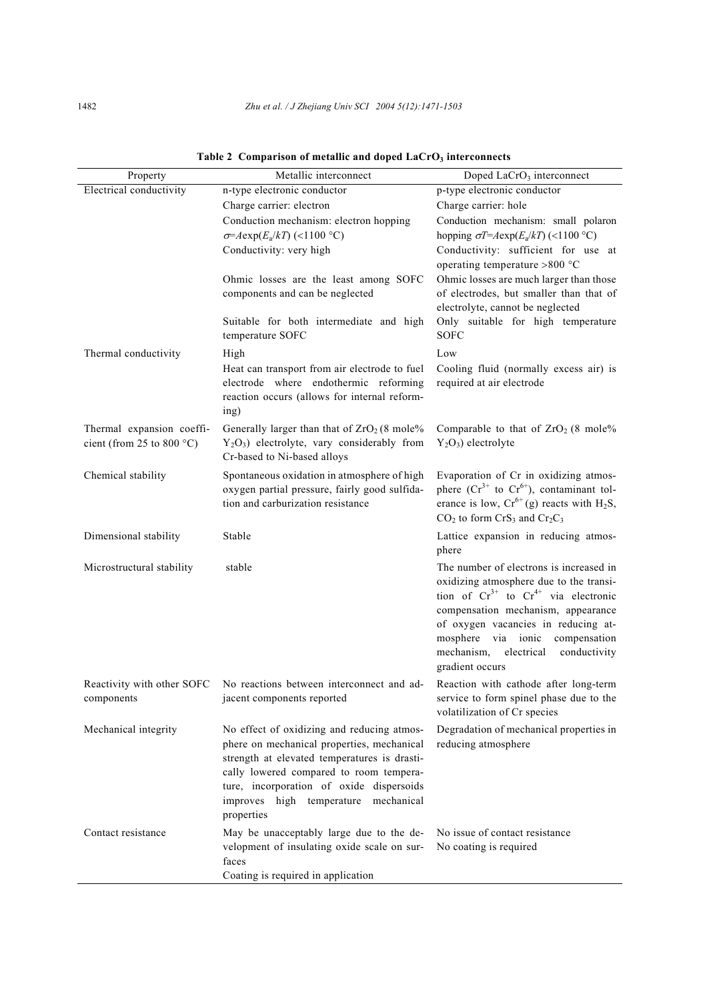| Property                                                         | Metallic interconnect                                                                                                                                                                                                                                                                    | Doped LaCrO <sub>3</sub> interconnect                                                                                                                                                                                                                                                                                 |
|------------------------------------------------------------------|------------------------------------------------------------------------------------------------------------------------------------------------------------------------------------------------------------------------------------------------------------------------------------------|-----------------------------------------------------------------------------------------------------------------------------------------------------------------------------------------------------------------------------------------------------------------------------------------------------------------------|
| Electrical conductivity                                          | n-type electronic conductor                                                                                                                                                                                                                                                              | p-type electronic conductor                                                                                                                                                                                                                                                                                           |
|                                                                  | Charge carrier: electron                                                                                                                                                                                                                                                                 | Charge carrier: hole                                                                                                                                                                                                                                                                                                  |
|                                                                  | Conduction mechanism: electron hopping                                                                                                                                                                                                                                                   | Conduction mechanism: small polaron                                                                                                                                                                                                                                                                                   |
|                                                                  | $\sigma = A \exp(E_a/kT)$ (<1100 °C)                                                                                                                                                                                                                                                     | hopping $\sigma T = A \exp(E_a/kT)$ (<1100 °C)                                                                                                                                                                                                                                                                        |
|                                                                  | Conductivity: very high                                                                                                                                                                                                                                                                  | Conductivity: sufficient for use at                                                                                                                                                                                                                                                                                   |
|                                                                  |                                                                                                                                                                                                                                                                                          | operating temperature >800 $^{\circ}$ C                                                                                                                                                                                                                                                                               |
|                                                                  | Ohmic losses are the least among SOFC                                                                                                                                                                                                                                                    | Ohmic losses are much larger than those                                                                                                                                                                                                                                                                               |
|                                                                  | components and can be neglected                                                                                                                                                                                                                                                          | of electrodes, but smaller than that of                                                                                                                                                                                                                                                                               |
|                                                                  |                                                                                                                                                                                                                                                                                          | electrolyte, cannot be neglected                                                                                                                                                                                                                                                                                      |
|                                                                  | Suitable for both intermediate and high<br>temperature SOFC                                                                                                                                                                                                                              | Only suitable for high temperature<br><b>SOFC</b>                                                                                                                                                                                                                                                                     |
| Thermal conductivity                                             | High                                                                                                                                                                                                                                                                                     | Low                                                                                                                                                                                                                                                                                                                   |
|                                                                  | Heat can transport from air electrode to fuel<br>electrode where endothermic reforming<br>reaction occurs (allows for internal reform-<br>ing)                                                                                                                                           | Cooling fluid (normally excess air) is<br>required at air electrode                                                                                                                                                                                                                                                   |
| Thermal expansion coeffi-<br>cient (from 25 to 800 $^{\circ}$ C) | Generally larger than that of $ZrO2$ (8 mole%<br>$Y_2O_3$ ) electrolyte, vary considerably from                                                                                                                                                                                          | Comparable to that of $ZrO2$ (8 mole%<br>$Y_2O_3$ ) electrolyte                                                                                                                                                                                                                                                       |
|                                                                  | Cr-based to Ni-based alloys                                                                                                                                                                                                                                                              |                                                                                                                                                                                                                                                                                                                       |
| Chemical stability                                               | Spontaneous oxidation in atmosphere of high<br>oxygen partial pressure, fairly good sulfida-                                                                                                                                                                                             | Evaporation of Cr in oxidizing atmos-<br>phere $(Cr^{3+}$ to $Cr^{6+}$ ), contaminant tol-                                                                                                                                                                                                                            |
|                                                                  | tion and carburization resistance                                                                                                                                                                                                                                                        | erance is low, $Cr^{6+}(g)$ reacts with H <sub>2</sub> S,<br>$CO2$ to form $CrS3$ and $Cr2C3$                                                                                                                                                                                                                         |
| Dimensional stability                                            | Stable                                                                                                                                                                                                                                                                                   | Lattice expansion in reducing atmos-<br>phere                                                                                                                                                                                                                                                                         |
| Microstructural stability                                        | stable                                                                                                                                                                                                                                                                                   | The number of electrons is increased in<br>oxidizing atmosphere due to the transi-<br>tion of $Cr^{3+}$ to $Cr^{4+}$ via electronic<br>compensation mechanism, appearance<br>of oxygen vacancies in reducing at-<br>mosphere via ionic<br>compensation<br>mechanism,<br>electrical<br>conductivity<br>gradient occurs |
| Reactivity with other SOFC<br>components                         | No reactions between interconnect and ad-<br>jacent components reported                                                                                                                                                                                                                  | Reaction with cathode after long-term<br>service to form spinel phase due to the<br>volatilization of Cr species                                                                                                                                                                                                      |
| Mechanical integrity                                             | No effect of oxidizing and reducing atmos-<br>phere on mechanical properties, mechanical<br>strength at elevated temperatures is drasti-<br>cally lowered compared to room tempera-<br>ture, incorporation of oxide dispersoids<br>improves high temperature<br>mechanical<br>properties | Degradation of mechanical properties in<br>reducing atmosphere                                                                                                                                                                                                                                                        |
| Contact resistance                                               | May be unacceptably large due to the de-<br>velopment of insulating oxide scale on sur-<br>faces<br>Coating is required in application                                                                                                                                                   | No issue of contact resistance<br>No coating is required                                                                                                                                                                                                                                                              |

Table 2 Comparison of metallic and doped LaCrO<sub>3</sub> interconnects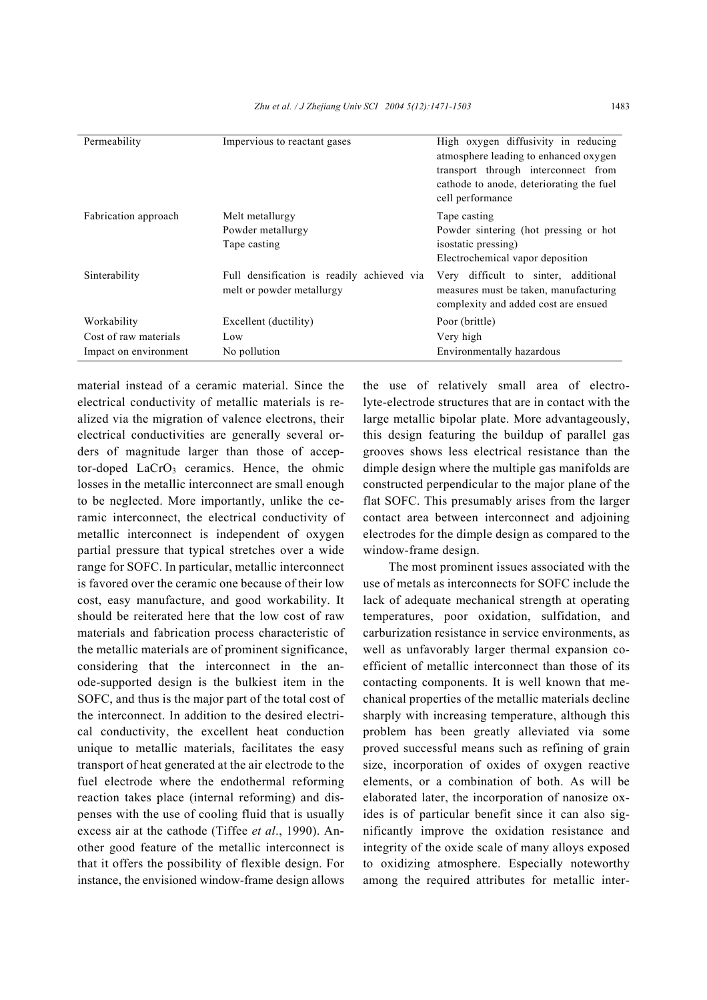| Permeability          | Impervious to reactant gases                                            | High oxygen diffusivity in reducing<br>atmosphere leading to enhanced oxygen<br>transport through interconnect from<br>cathode to anode, deteriorating the fuel<br>cell performance |
|-----------------------|-------------------------------------------------------------------------|-------------------------------------------------------------------------------------------------------------------------------------------------------------------------------------|
| Fabrication approach  | Melt metallurgy<br>Powder metallurgy<br>Tape casting                    | Tape casting<br>Powder sintering (hot pressing or hot<br>isostatic pressing)<br>Electrochemical vapor deposition                                                                    |
| Sinterability         | Full densification is readily achieved via<br>melt or powder metallurgy | Very difficult to sinter, additional<br>measures must be taken, manufacturing<br>complexity and added cost are ensued                                                               |
| Workability           | Excellent (ductility)                                                   | Poor (brittle)                                                                                                                                                                      |
| Cost of raw materials | Low                                                                     | Very high                                                                                                                                                                           |
| Impact on environment | No pollution                                                            | Environmentally hazardous                                                                                                                                                           |

material instead of a ceramic material. Since the electrical conductivity of metallic materials is realized via the migration of valence electrons, their electrical conductivities are generally several orders of magnitude larger than those of acceptor-doped  $LaCrO<sub>3</sub>$  ceramics. Hence, the ohmic losses in the metallic interconnect are small enough to be neglected. More importantly, unlike the ceramic interconnect, the electrical conductivity of metallic interconnect is independent of oxygen partial pressure that typical stretches over a wide range for SOFC. In particular, metallic interconnect is favored over the ceramic one because of their low cost, easy manufacture, and good workability. It should be reiterated here that the low cost of raw materials and fabrication process characteristic of the metallic materials are of prominent significance, considering that the interconnect in the anode-supported design is the bulkiest item in the SOFC, and thus is the major part of the total cost of the interconnect. In addition to the desired electrical conductivity, the excellent heat conduction unique to metallic materials, facilitates the easy transport of heat generated at the air electrode to the fuel electrode where the endothermal reforming reaction takes place (internal reforming) and dispenses with the use of cooling fluid that is usually excess air at the cathode (Tiffee *et al*., 1990). Another good feature of the metallic interconnect is that it offers the possibility of flexible design. For instance, the envisioned window-frame design allows

the use of relatively small area of electrolyte-electrode structures that are in contact with the large metallic bipolar plate. More advantageously, this design featuring the buildup of parallel gas grooves shows less electrical resistance than the dimple design where the multiple gas manifolds are constructed perpendicular to the major plane of the flat SOFC. This presumably arises from the larger contact area between interconnect and adjoining electrodes for the dimple design as compared to the window-frame design.

The most prominent issues associated with the use of metals as interconnects for SOFC include the lack of adequate mechanical strength at operating temperatures, poor oxidation, sulfidation, and carburization resistance in service environments, as well as unfavorably larger thermal expansion coefficient of metallic interconnect than those of its contacting components. It is well known that mechanical properties of the metallic materials decline sharply with increasing temperature, although this problem has been greatly alleviated via some proved successful means such as refining of grain size, incorporation of oxides of oxygen reactive elements, or a combination of both. As will be elaborated later, the incorporation of nanosize oxides is of particular benefit since it can also significantly improve the oxidation resistance and integrity of the oxide scale of many alloys exposed to oxidizing atmosphere. Especially noteworthy among the required attributes for metallic inter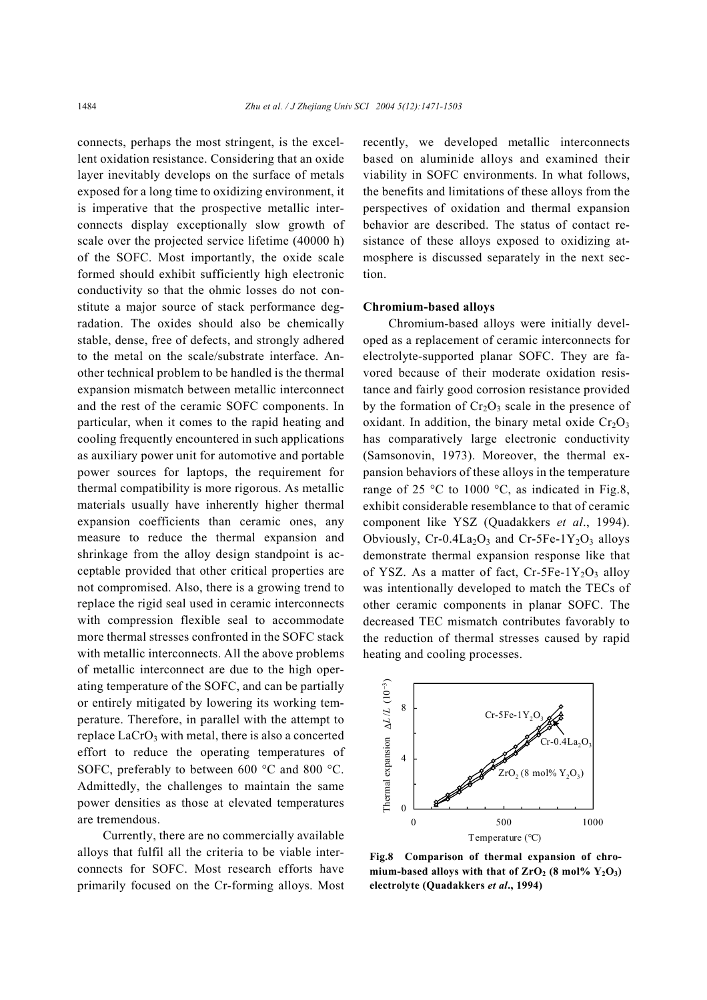connects, perhaps the most stringent, is the excellent oxidation resistance. Considering that an oxide layer inevitably develops on the surface of metals exposed for a long time to oxidizing environment, it is imperative that the prospective metallic interconnects display exceptionally slow growth of scale over the projected service lifetime (40000 h) of the SOFC. Most importantly, the oxide scale formed should exhibit sufficiently high electronic conductivity so that the ohmic losses do not constitute a major source of stack performance degradation. The oxides should also be chemically stable, dense, free of defects, and strongly adhered to the metal on the scale/substrate interface. Another technical problem to be handled is the thermal expansion mismatch between metallic interconnect and the rest of the ceramic SOFC components. In particular, when it comes to the rapid heating and cooling frequently encountered in such applications as auxiliary power unit for automotive and portable power sources for laptops, the requirement for thermal compatibility is more rigorous. As metallic materials usually have inherently higher thermal expansion coefficients than ceramic ones, any measure to reduce the thermal expansion and shrinkage from the alloy design standpoint is acceptable provided that other critical properties are not compromised. Also, there is a growing trend to replace the rigid seal used in ceramic interconnects with compression flexible seal to accommodate more thermal stresses confronted in the SOFC stack with metallic interconnects. All the above problems of metallic interconnect are due to the high operating temperature of the SOFC, and can be partially or entirely mitigated by lowering its working temperature. Therefore, in parallel with the attempt to replace  $LaCrO<sub>3</sub>$  with metal, there is also a concerted effort to reduce the operating temperatures of SOFC, preferably to between 600 °C and 800 °C. Admittedly, the challenges to maintain the same power densities as those at elevated temperatures are tremendous.

Currently, there are no commercially available alloys that fulfil all the criteria to be viable interconnects for SOFC. Most research efforts have primarily focused on the Cr-forming alloys. Most recently, we developed metallic interconnects based on aluminide alloys and examined their viability in SOFC environments. In what follows, the benefits and limitations of these alloys from the perspectives of oxidation and thermal expansion behavior are described. The status of contact resistance of these alloys exposed to oxidizing atmosphere is discussed separately in the next section.

#### **Chromium-based alloys**

Chromium-based alloys were initially developed as a replacement of ceramic interconnects for electrolyte-supported planar SOFC. They are favored because of their moderate oxidation resistance and fairly good corrosion resistance provided by the formation of  $Cr_2O_3$  scale in the presence of oxidant. In addition, the binary metal oxide  $Cr_2O_3$ has comparatively large electronic conductivity (Samsonovin, 1973). Moreover, the thermal expansion behaviors of these alloys in the temperature range of 25  $\degree$ C to 1000  $\degree$ C, as indicated in Fig.8, exhibit considerable resemblance to that of ceramic component like YSZ (Quadakkers *et al*., 1994). Obviously,  $Cr-0.4La<sub>2</sub>O<sub>3</sub>$  and  $Cr-5Fe-1Y<sub>2</sub>O<sub>3</sub>$  alloys demonstrate thermal expansion response like that of YSZ. As a matter of fact,  $Cr-5Fe-1Y_2O_3$  alloy was intentionally developed to match the TECs of other ceramic components in planar SOFC. The decreased TEC mismatch contributes favorably to the reduction of thermal stresses caused by rapid heating and cooling processes.



**Fig.8 Comparison of thermal expansion of chro**mium-based alloys with that of  $\text{ZrO}_2$  (8 mol%  $\text{Y}_2\text{O}_3$ ) **electrolyte (Quadakkers** *et al***., 1994)**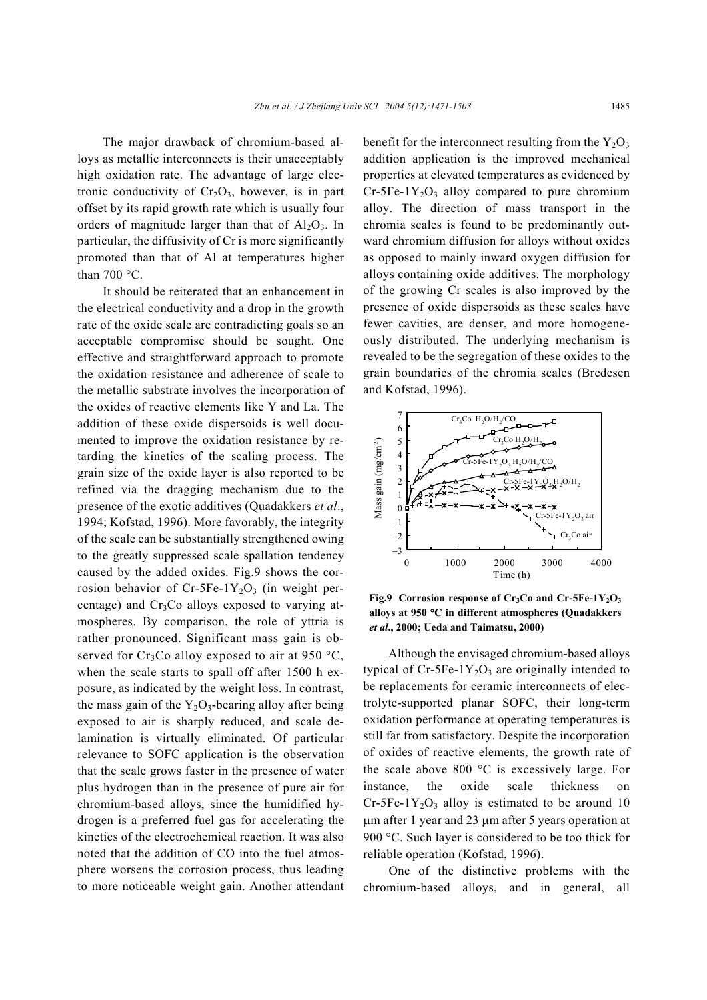The major drawback of chromium-based alloys as metallic interconnects is their unacceptably high oxidation rate. The advantage of large electronic conductivity of  $Cr<sub>2</sub>O<sub>3</sub>$ , however, is in part offset by its rapid growth rate which is usually four orders of magnitude larger than that of  $Al_2O_3$ . In particular, the diffusivity of Cr is more significantly promoted than that of Al at temperatures higher than  $700 °C$ .

It should be reiterated that an enhancement in the electrical conductivity and a drop in the growth rate of the oxide scale are contradicting goals so an acceptable compromise should be sought. One effective and straightforward approach to promote the oxidation resistance and adherence of scale to the metallic substrate involves the incorporation of the oxides of reactive elements like Y and La. The addition of these oxide dispersoids is well documented to improve the oxidation resistance by retarding the kinetics of the scaling process. The grain size of the oxide layer is also reported to be refined via the dragging mechanism due to the presence of the exotic additives (Quadakkers *et al*., 1994; Kofstad, 1996). More favorably, the integrity of the scale can be substantially strengthened owing to the greatly suppressed scale spallation tendency caused by the added oxides. Fig.9 shows the corrosion behavior of Cr-5Fe-1Y<sub>2</sub>O<sub>3</sub> (in weight percentage) and  $Cr_3Co$  alloys exposed to varying atmospheres. By comparison, the role of yttria is rather pronounced. Significant mass gain is observed for  $Cr_3Co$  alloy exposed to air at 950 °C, when the scale starts to spall off after 1500 h exposure, as indicated by the weight loss. In contrast, the mass gain of the  $Y_2O_3$ -bearing alloy after being exposed to air is sharply reduced, and scale delamination is virtually eliminated. Of particular relevance to SOFC application is the observation that the scale grows faster in the presence of water plus hydrogen than in the presence of pure air for chromium-based alloys, since the humidified hydrogen is a preferred fuel gas for accelerating the kinetics of the electrochemical reaction. It was also noted that the addition of CO into the fuel atmosphere worsens the corrosion process, thus leading to more noticeable weight gain. Another attendant benefit for the interconnect resulting from the  $Y_2O_3$ addition application is the improved mechanical properties at elevated temperatures as evidenced by  $Cr-5Fe-1Y<sub>2</sub>O<sub>3</sub>$  alloy compared to pure chromium alloy. The direction of mass transport in the chromia scales is found to be predominantly outward chromium diffusion for alloys without oxides as opposed to mainly inward oxygen diffusion for alloys containing oxide additives. The morphology of the growing Cr scales is also improved by the presence of oxide dispersoids as these scales have fewer cavities, are denser, and more homogeneously distributed. The underlying mechanism is revealed to be the segregation of these oxides to the grain boundaries of the chromia scales (Bredesen and Kofstad, 1996).



Fig.9 Corrosion response of  $Cr<sub>3</sub>Co$  and  $Cr<sub>5</sub>Fe<sub>1</sub>Y<sub>2</sub>O<sub>3</sub>$ **alloys at 950** °**C in different atmospheres (Quadakkers**  *et al***., 2000; Ueda and Taimatsu, 2000)**

Although the envisaged chromium-based alloys typical of  $Cr-5Fe-1Y<sub>2</sub>O<sub>3</sub>$  are originally intended to be replacements for ceramic interconnects of electrolyte-supported planar SOFC, their long-term oxidation performance at operating temperatures is still far from satisfactory. Despite the incorporation of oxides of reactive elements, the growth rate of the scale above 800 °C is excessively large. For instance, the oxide scale thickness on  $Cr-5Fe-1Y<sub>2</sub>O<sub>3</sub>$  alloy is estimated to be around 10 µm after 1 year and 23 µm after 5 years operation at 900 °C. Such layer is considered to be too thick for reliable operation (Kofstad, 1996).

One of the distinctive problems with the chromium-based alloys, and in general, all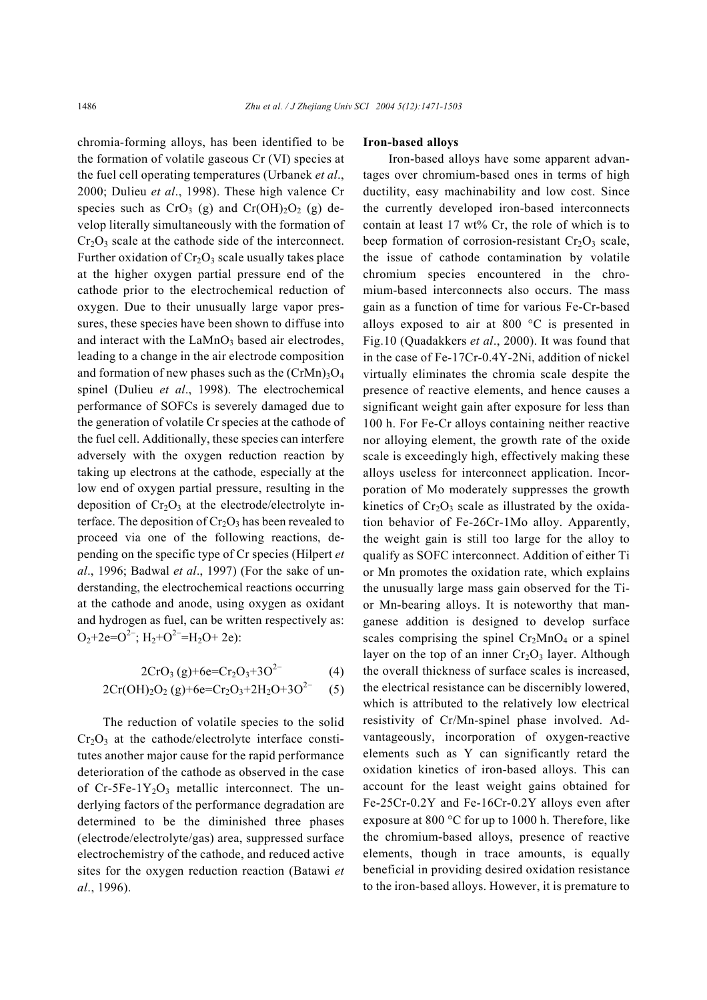chromia-forming alloys, has been identified to be the formation of volatile gaseous Cr (VI) species at the fuel cell operating temperatures (Urbanek *et al*., 2000; Dulieu *et al*., 1998). These high valence Cr species such as  $CrO_3$  (g) and  $Cr(OH)_2O_2$  (g) develop literally simultaneously with the formation of  $Cr<sub>2</sub>O<sub>3</sub>$  scale at the cathode side of the interconnect. Further oxidation of  $Cr_2O_3$  scale usually takes place at the higher oxygen partial pressure end of the cathode prior to the electrochemical reduction of oxygen. Due to their unusually large vapor pressures, these species have been shown to diffuse into and interact with the  $LaMnO<sub>3</sub>$  based air electrodes, leading to a change in the air electrode composition and formation of new phases such as the  $(CrMn)3O_4$ spinel (Dulieu *et al*., 1998). The electrochemical performance of SOFCs is severely damaged due to the generation of volatile Cr species at the cathode of the fuel cell. Additionally, these species can interfere adversely with the oxygen reduction reaction by taking up electrons at the cathode, especially at the low end of oxygen partial pressure, resulting in the deposition of  $Cr_2O_3$  at the electrode/electrolyte interface. The deposition of  $Cr_2O_3$  has been revealed to proceed via one of the following reactions, depending on the specific type of Cr species (Hilpert *et al*., 1996; Badwal *et al*., 1997) (For the sake of understanding, the electrochemical reactions occurring at the cathode and anode, using oxygen as oxidant and hydrogen as fuel, can be written respectively as:  $O_2 + 2e = O^2$ ; H<sub>2</sub>+O<sup>2-</sup>=H<sub>2</sub>O+ 2e):

$$
2CrO3(g) + 6e = Cr2O3 + 3O2-
$$
 (4)

$$
2Cr(OH)_2O_2(g)+6e=Cr_2O_3+2H_2O+3O^{2-} (5)
$$

The reduction of volatile species to the solid  $Cr_2O_3$  at the cathode/electrolyte interface constitutes another major cause for the rapid performance deterioration of the cathode as observed in the case of  $Cr-5Fe-1Y_2O_3$  metallic interconnect. The underlying factors of the performance degradation are determined to be the diminished three phases (electrode/electrolyte/gas) area, suppressed surface electrochemistry of the cathode, and reduced active sites for the oxygen reduction reaction (Batawi *et al*., 1996).

#### **Iron-based alloys**

Iron-based alloys have some apparent advantages over chromium-based ones in terms of high ductility, easy machinability and low cost. Since the currently developed iron-based interconnects contain at least 17 wt% Cr, the role of which is to beep formation of corrosion-resistant  $Cr_2O_3$  scale, the issue of cathode contamination by volatile chromium species encountered in the chromium-based interconnects also occurs. The mass gain as a function of time for various Fe-Cr-based alloys exposed to air at 800 °C is presented in Fig.10 (Quadakkers *et al*., 2000). It was found that in the case of Fe-17Cr-0.4Y-2Ni, addition of nickel virtually eliminates the chromia scale despite the presence of reactive elements, and hence causes a significant weight gain after exposure for less than 100 h. For Fe-Cr alloys containing neither reactive nor alloying element, the growth rate of the oxide scale is exceedingly high, effectively making these alloys useless for interconnect application. Incorporation of Mo moderately suppresses the growth kinetics of  $Cr_2O_3$  scale as illustrated by the oxidation behavior of Fe-26Cr-1Mo alloy. Apparently, the weight gain is still too large for the alloy to qualify as SOFC interconnect. Addition of either Ti or Mn promotes the oxidation rate, which explains the unusually large mass gain observed for the Tior Mn-bearing alloys. It is noteworthy that manganese addition is designed to develop surface scales comprising the spinel  $Cr<sub>2</sub>MnO<sub>4</sub>$  or a spinel layer on the top of an inner  $Cr<sub>2</sub>O<sub>3</sub>$  layer. Although the overall thickness of surface scales is increased, the electrical resistance can be discernibly lowered, which is attributed to the relatively low electrical resistivity of Cr/Mn-spinel phase involved. Advantageously, incorporation of oxygen-reactive elements such as Y can significantly retard the oxidation kinetics of iron-based alloys. This can account for the least weight gains obtained for Fe-25Cr-0.2Y and Fe-16Cr-0.2Y alloys even after exposure at 800 °C for up to 1000 h. Therefore, like the chromium-based alloys, presence of reactive elements, though in trace amounts, is equally beneficial in providing desired oxidation resistance to the iron-based alloys. However, it is premature to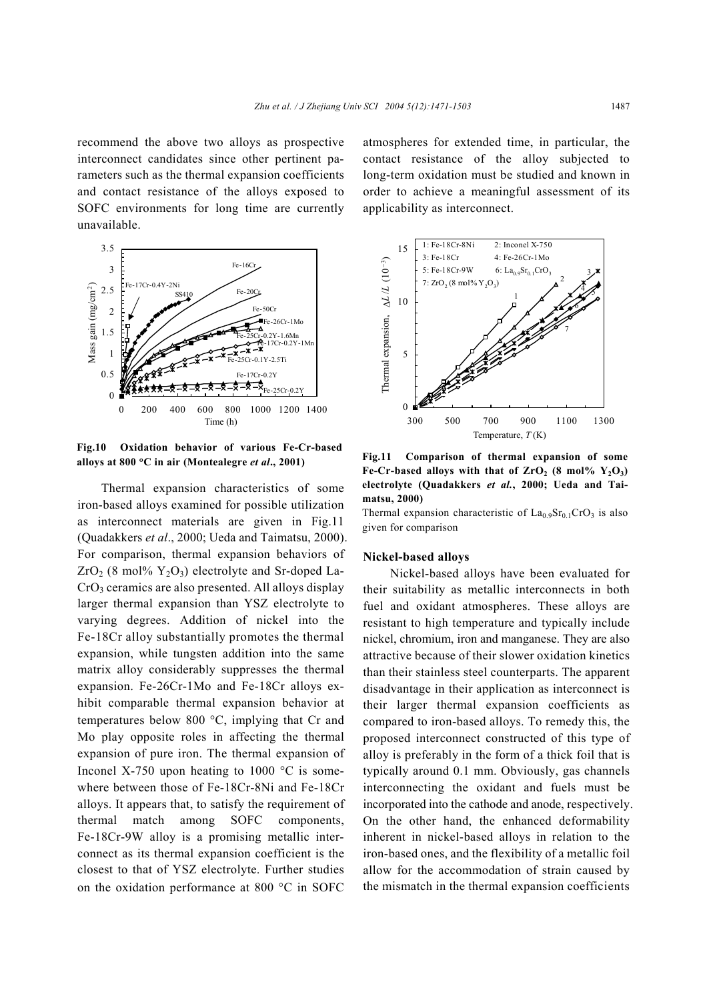recommend the above two alloys as prospective interconnect candidates since other pertinent parameters such as the thermal expansion coefficients and contact resistance of the alloys exposed to SOFC environments for long time are currently unavailable.



**Fig.10 Oxidation behavior of various Fe-Cr-based alloys at 800** °**C in air (Montealegre** *et al***., 2001)** 

Thermal expansion characteristics of some iron-based alloys examined for possible utilization as interconnect materials are given in Fig.11 (Quadakkers *et al*., 2000; Ueda and Taimatsu, 2000). For comparison, thermal expansion behaviors of  $ZrO<sub>2</sub>$  (8 mol%  $Y<sub>2</sub>O<sub>3</sub>$ ) electrolyte and Sr-doped La-CrO<sub>3</sub> ceramics are also presented. All alloys display larger thermal expansion than YSZ electrolyte to varying degrees. Addition of nickel into the Fe-18Cr alloy substantially promotes the thermal expansion, while tungsten addition into the same matrix alloy considerably suppresses the thermal expansion. Fe-26Cr-1Mo and Fe-18Cr alloys exhibit comparable thermal expansion behavior at temperatures below 800 °C, implying that Cr and Mo play opposite roles in affecting the thermal expansion of pure iron. The thermal expansion of Inconel X-750 upon heating to 1000  $^{\circ}$ C is somewhere between those of Fe-18Cr-8Ni and Fe-18Cr alloys. It appears that, to satisfy the requirement of thermal match among SOFC components, Fe-18Cr-9W alloy is a promising metallic interconnect as its thermal expansion coefficient is the closest to that of YSZ electrolyte. Further studies on the oxidation performance at 800 °C in SOFC

atmospheres for extended time, in particular, the contact resistance of the alloy subjected to long-term oxidation must be studied and known in order to achieve a meaningful assessment of its applicability as interconnect.



**Fig.11 Comparison of thermal expansion of some** Fe-Cr-based alloys with that of  $ZrO<sub>2</sub>$  (8 mol%  $Y<sub>2</sub>O<sub>3</sub>$ ) **electrolyte (Quadakkers** *et al.***, 2000; Ueda and Taimatsu, 2000)** 

Thermal expansion characteristic of  $La_0.9Sr_0.1CrO<sub>3</sub>$  is also given for comparison

#### **Nickel-based alloys**

Nickel-based alloys have been evaluated for their suitability as metallic interconnects in both fuel and oxidant atmospheres. These alloys are resistant to high temperature and typically include nickel, chromium, iron and manganese. They are also attractive because of their slower oxidation kinetics than their stainless steel counterparts. The apparent disadvantage in their application as interconnect is their larger thermal expansion coefficients as compared to iron-based alloys. To remedy this, the proposed interconnect constructed of this type of alloy is preferably in the form of a thick foil that is typically around 0.1 mm. Obviously, gas channels interconnecting the oxidant and fuels must be incorporated into the cathode and anode, respectively. On the other hand, the enhanced deformability inherent in nickel-based alloys in relation to the iron-based ones, and the flexibility of a metallic foil allow for the accommodation of strain caused by the mismatch in the thermal expansion coefficients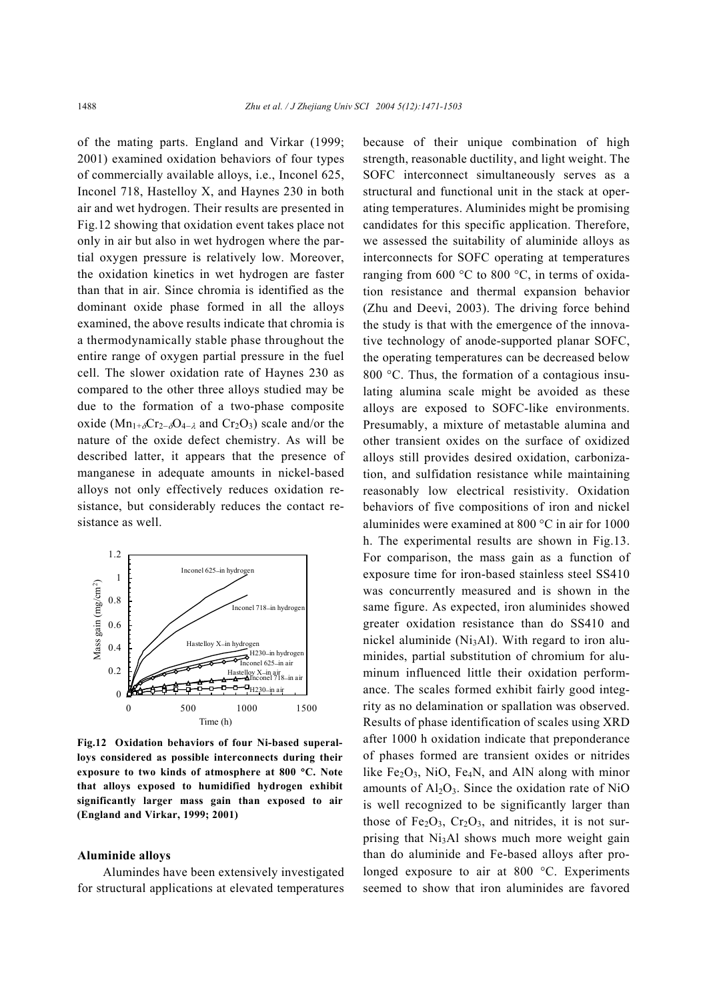of the mating parts. England and Virkar (1999; 2001) examined oxidation behaviors of four types of commercially available alloys, i.e., Inconel 625, Inconel 718, Hastelloy X, and Haynes 230 in both air and wet hydrogen. Their results are presented in Fig.12 showing that oxidation event takes place not only in air but also in wet hydrogen where the partial oxygen pressure is relatively low. Moreover, the oxidation kinetics in wet hydrogen are faster than that in air. Since chromia is identified as the dominant oxide phase formed in all the alloys examined, the above results indicate that chromia is a thermodynamically stable phase throughout the entire range of oxygen partial pressure in the fuel cell. The slower oxidation rate of Haynes 230 as compared to the other three alloys studied may be due to the formation of a two-phase composite oxide (Mn<sub>1+δ</sub>Cr<sub>2−δ</sub>O<sub>4−λ</sub> and Cr<sub>2</sub>O<sub>3</sub>) scale and/or the nature of the oxide defect chemistry. As will be described latter, it appears that the presence of manganese in adequate amounts in nickel-based alloys not only effectively reduces oxidation resistance, but considerably reduces the contact resistance as well.



**Fig.12 Oxidation behaviors of four Ni-based superalloys considered as possible interconnects during their exposure to two kinds of atmosphere at 800** °**C. Note that alloys exposed to humidified hydrogen exhibit significantly larger mass gain than exposed to air (England and Virkar, 1999; 2001)** 

#### **Aluminide alloys**

Alumindes have been extensively investigated for structural applications at elevated temperatures because of their unique combination of high strength, reasonable ductility, and light weight. The SOFC interconnect simultaneously serves as a structural and functional unit in the stack at operating temperatures. Aluminides might be promising candidates for this specific application. Therefore, we assessed the suitability of aluminide alloys as interconnects for SOFC operating at temperatures ranging from 600  $\degree$ C to 800  $\degree$ C, in terms of oxidation resistance and thermal expansion behavior (Zhu and Deevi, 2003). The driving force behind the study is that with the emergence of the innovative technology of anode-supported planar SOFC, the operating temperatures can be decreased below 800 °C. Thus, the formation of a contagious insulating alumina scale might be avoided as these alloys are exposed to SOFC-like environments. Presumably, a mixture of metastable alumina and other transient oxides on the surface of oxidized alloys still provides desired oxidation, carbonization, and sulfidation resistance while maintaining reasonably low electrical resistivity. Oxidation behaviors of five compositions of iron and nickel aluminides were examined at 800 °C in air for 1000 h. The experimental results are shown in Fig.13. For comparison, the mass gain as a function of exposure time for iron-based stainless steel SS410 was concurrently measured and is shown in the same figure. As expected, iron aluminides showed greater oxidation resistance than do SS410 and nickel aluminide ( $Ni<sub>3</sub>Al$ ). With regard to iron aluminides, partial substitution of chromium for aluminum influenced little their oxidation performance. The scales formed exhibit fairly good integrity as no delamination or spallation was observed. Results of phase identification of scales using XRD after 1000 h oxidation indicate that preponderance of phases formed are transient oxides or nitrides like  $Fe<sub>2</sub>O<sub>3</sub>$ , NiO, Fe<sub>4</sub>N, and AlN along with minor amounts of  $Al_2O_3$ . Since the oxidation rate of NiO is well recognized to be significantly larger than those of  $Fe<sub>2</sub>O<sub>3</sub>$ ,  $Cr<sub>2</sub>O<sub>3</sub>$ , and nitrides, it is not surprising that Ni3Al shows much more weight gain than do aluminide and Fe-based alloys after prolonged exposure to air at 800 °C. Experiments seemed to show that iron aluminides are favored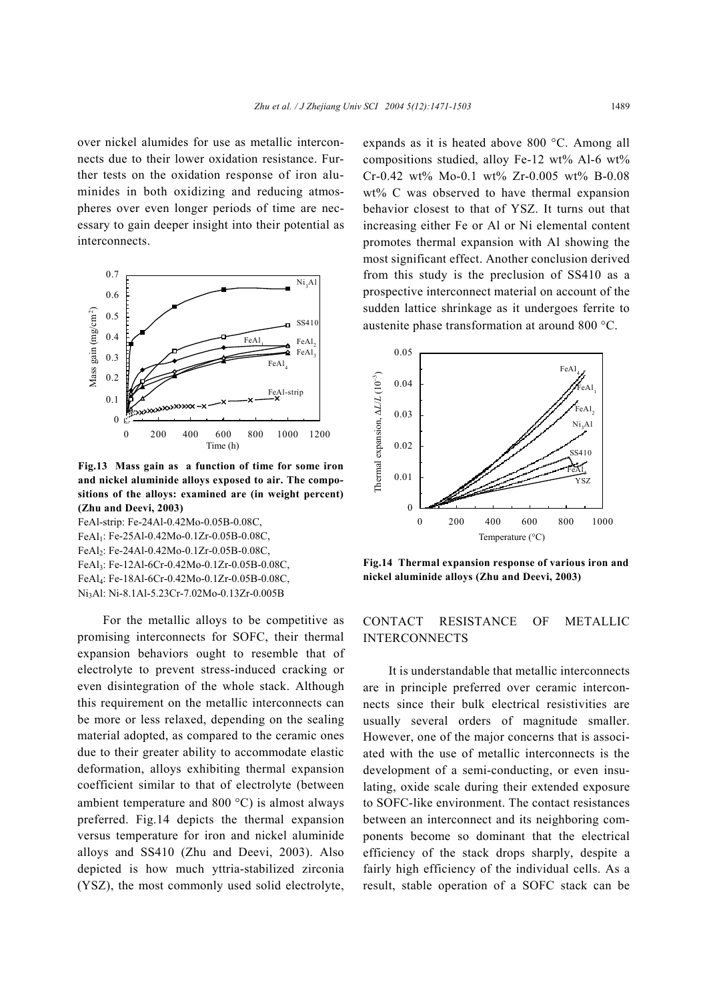over nickel alumides for use as metallic interconnects due to their lower oxidation resistance. Further tests on the oxidation response of iron aluminides in both oxidizing and reducing atmospheres over even longer periods of time are necessary to gain deeper insight into their potential as interconnects.



**Fig.13 Mass gain as a function of time for some iron and nickel aluminide alloys exposed to air. The compositions of the alloys: examined are (in weight percent) (Zhu and Deevi, 2003)** 

FeAl-strip: Fe-24Al-0.42Mo-0.05B-0.08C, FeAl1: Fe-25Al-0.42Mo-0.1Zr-0.05B-0.08C, FeAl2: Fe-24Al-0.42Mo-0.1Zr-0.05B-0.08C, FeAl3: Fe-12Al-6Cr-0.42Mo-0.1Zr-0.05B-0.08C, FeAl4: Fe-18Al-6Cr-0.42Mo-0.1Zr-0.05B-0.08C, Ni3Al: Ni-8.1Al-5.23Cr-7.02Mo-0.13Zr-0.005B

For the metallic alloys to be competitive as promising interconnects for SOFC, their thermal expansion behaviors ought to resemble that of electrolyte to prevent stress-induced cracking or even disintegration of the whole stack. Although this requirement on the metallic interconnects can be more or less relaxed, depending on the sealing material adopted, as compared to the ceramic ones due to their greater ability to accommodate elastic deformation, alloys exhibiting thermal expansion coefficient similar to that of electrolyte (between ambient temperature and 800 °C) is almost always preferred. Fig.14 depicts the thermal expansion versus temperature for iron and nickel aluminide alloys and SS410 (Zhu and Deevi, 2003). Also depicted is how much yttria-stabilized zirconia (YSZ), the most commonly used solid electrolyte, expands as it is heated above 800 °C. Among all compositions studied, alloy Fe-12 wt% Al-6 wt% Cr-0.42 wt% Mo-0.1 wt% Zr-0.005 wt% B-0.08 wt% C was observed to have thermal expansion behavior closest to that of YSZ. It turns out that increasing either Fe or Al or Ni elemental content promotes thermal expansion with Al showing the most significant effect. Another conclusion derived from this study is the preclusion of SS410 as a prospective interconnect material on account of the sudden lattice shrinkage as it undergoes ferrite to austenite phase transformation at around 800 °C.



**Fig.14 Thermal expansion response of various iron and nickel aluminide alloys (Zhu and Deevi, 2003)** 

## CONTACT RESISTANCE OF METALLIC INTERCONNECTS

It is understandable that metallic interconnects are in principle preferred over ceramic interconnects since their bulk electrical resistivities are usually several orders of magnitude smaller. However, one of the major concerns that is associated with the use of metallic interconnects is the development of a semi-conducting, or even insulating, oxide scale during their extended exposure to SOFC-like environment. The contact resistances between an interconnect and its neighboring components become so dominant that the electrical efficiency of the stack drops sharply, despite a fairly high efficiency of the individual cells. As a result, stable operation of a SOFC stack can be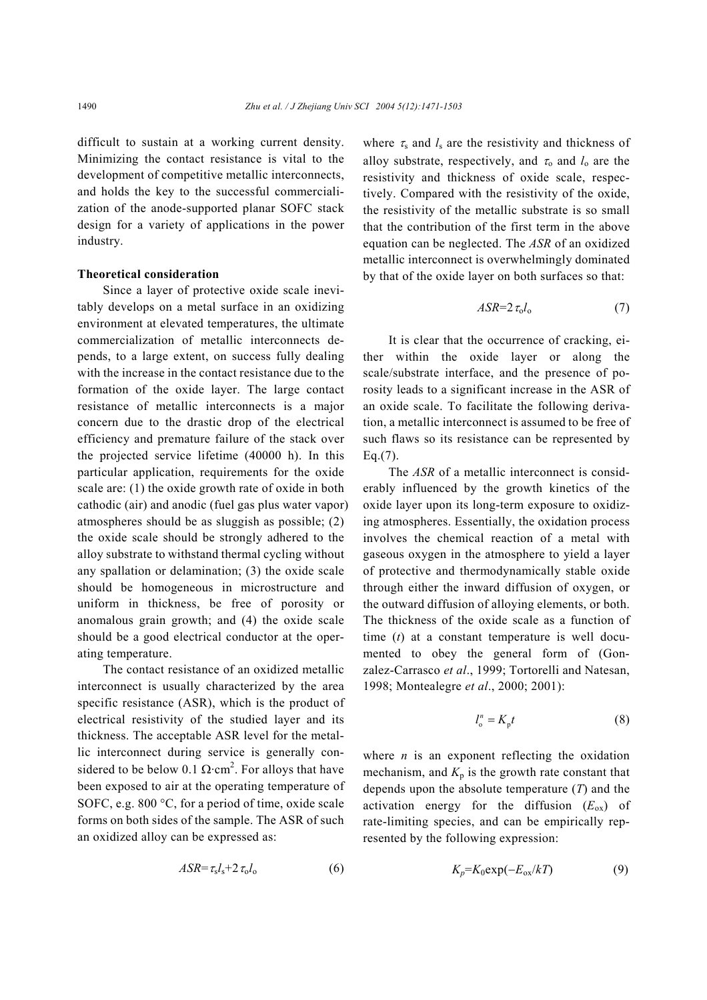difficult to sustain at a working current density. Minimizing the contact resistance is vital to the development of competitive metallic interconnects, and holds the key to the successful commercialization of the anode-supported planar SOFC stack design for a variety of applications in the power industry.

#### **Theoretical consideration**

Since a layer of protective oxide scale inevitably develops on a metal surface in an oxidizing environment at elevated temperatures, the ultimate commercialization of metallic interconnects depends, to a large extent, on success fully dealing with the increase in the contact resistance due to the formation of the oxide layer. The large contact resistance of metallic interconnects is a major concern due to the drastic drop of the electrical efficiency and premature failure of the stack over the projected service lifetime (40000 h). In this particular application, requirements for the oxide scale are: (1) the oxide growth rate of oxide in both cathodic (air) and anodic (fuel gas plus water vapor) atmospheres should be as sluggish as possible; (2) the oxide scale should be strongly adhered to the alloy substrate to withstand thermal cycling without any spallation or delamination; (3) the oxide scale should be homogeneous in microstructure and uniform in thickness, be free of porosity or anomalous grain growth; and (4) the oxide scale should be a good electrical conductor at the operating temperature.

The contact resistance of an oxidized metallic interconnect is usually characterized by the area specific resistance (ASR), which is the product of electrical resistivity of the studied layer and its thickness. The acceptable ASR level for the metallic interconnect during service is generally considered to be below 0.1  $\Omega$ ·cm<sup>2</sup>. For alloys that have been exposed to air at the operating temperature of SOFC, e.g. 800 °C, for a period of time, oxide scale forms on both sides of the sample. The ASR of such an oxidized alloy can be expressed as:

where  $\tau_s$  and  $l_s$  are the resistivity and thickness of alloy substrate, respectively, and  $\tau_0$  and  $l_0$  are the resistivity and thickness of oxide scale, respectively. Compared with the resistivity of the oxide, the resistivity of the metallic substrate is so small that the contribution of the first term in the above equation can be neglected. The *ASR* of an oxidized metallic interconnect is overwhelmingly dominated by that of the oxide layer on both surfaces so that:

$$
ASR=2\,\tau_{\rm o}l_{\rm o}\tag{7}
$$

It is clear that the occurrence of cracking, either within the oxide layer or along the scale/substrate interface, and the presence of porosity leads to a significant increase in the ASR of an oxide scale. To facilitate the following derivation, a metallic interconnect is assumed to be free of such flaws so its resistance can be represented by Eq.(7).

The *ASR* of a metallic interconnect is considerably influenced by the growth kinetics of the oxide layer upon its long-term exposure to oxidizing atmospheres. Essentially, the oxidation process involves the chemical reaction of a metal with gaseous oxygen in the atmosphere to yield a layer of protective and thermodynamically stable oxide through either the inward diffusion of oxygen, or the outward diffusion of alloying elements, or both. The thickness of the oxide scale as a function of time (*t*) at a constant temperature is well documented to obey the general form of (Gonzalez-Carrasco *et al*., 1999; Tortorelli and Natesan, 1998; Montealegre *et al*., 2000; 2001):

$$
l_o^n = K_p t \tag{8}
$$

where *n* is an exponent reflecting the oxidation mechanism, and  $K_p$  is the growth rate constant that depends upon the absolute temperature (*T*) and the activation energy for the diffusion  $(E_{ox})$  of rate-limiting species, and can be empirically represented by the following expression:

$$
ASR = \tau_{\rm s} l_{\rm s} + 2 \tau_{\rm o} l_{\rm o} \tag{6}
$$

$$
K_p = K_0 \exp(-E_{\text{ox}}/kT) \tag{9}
$$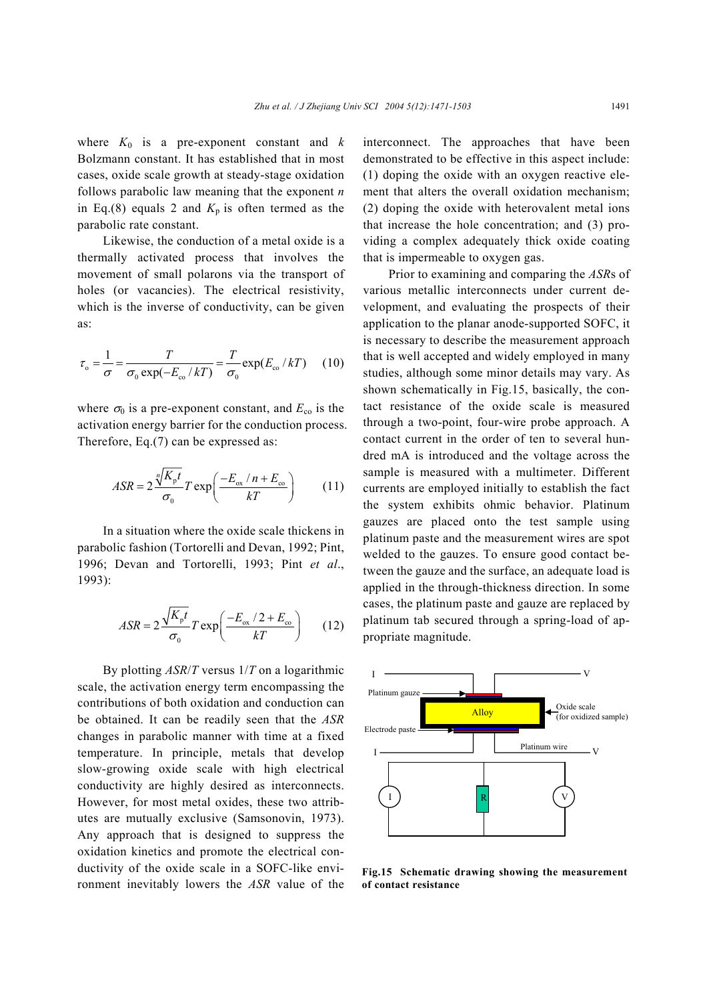where  $K_0$  is a pre-exponent constant and  $k$ Bolzmann constant. It has established that in most cases, oxide scale growth at steady-stage oxidation follows parabolic law meaning that the exponent *n* in Eq.(8) equals 2 and  $K_p$  is often termed as the parabolic rate constant.

Likewise, the conduction of a metal oxide is a thermally activated process that involves the movement of small polarons via the transport of holes (or vacancies). The electrical resistivity, which is the inverse of conductivity, can be given as:

$$
\tau_{\rm o} = \frac{1}{\sigma} = \frac{T}{\sigma_{\rm o} \exp(-E_{\rm co}/kT)} = \frac{T}{\sigma_{\rm o}} \exp(E_{\rm co}/kT) \quad (10)
$$

where  $\sigma_0$  is a pre-exponent constant, and  $E_{\rm co}$  is the activation energy barrier for the conduction process. Therefore, Eq.(7) can be expressed as:

$$
ASR = 2\frac{\sqrt[n]{K_{\rm p}t}}{\sigma_0}T\exp\left(\frac{-E_{\rm ox}/n + E_{\rm co}}{kT}\right) \tag{11}
$$

In a situation where the oxide scale thickens in parabolic fashion (Tortorelli and Devan, 1992; Pint, 1996; Devan and Tortorelli, 1993; Pint *et al*., 1993):

$$
ASR = 2\frac{\sqrt{K_{\rm p}t}}{\sigma_0}T\exp\left(\frac{-E_{\rm ox}/2 + E_{\rm co}}{kT}\right) \tag{12}
$$

By plotting *ASR*/*T* versus 1/*T* on a logarithmic scale, the activation energy term encompassing the contributions of both oxidation and conduction can be obtained. It can be readily seen that the *ASR* changes in parabolic manner with time at a fixed temperature. In principle, metals that develop slow-growing oxide scale with high electrical conductivity are highly desired as interconnects. However, for most metal oxides, these two attributes are mutually exclusive (Samsonovin, 1973). Any approach that is designed to suppress the oxidation kinetics and promote the electrical conductivity of the oxide scale in a SOFC-like environment inevitably lowers the *ASR* value of the interconnect. The approaches that have been demonstrated to be effective in this aspect include: (1) doping the oxide with an oxygen reactive element that alters the overall oxidation mechanism; (2) doping the oxide with heterovalent metal ions that increase the hole concentration; and (3) providing a complex adequately thick oxide coating that is impermeable to oxygen gas.

Prior to examining and comparing the *ASR*s of various metallic interconnects under current development, and evaluating the prospects of their application to the planar anode-supported SOFC, it is necessary to describe the measurement approach that is well accepted and widely employed in many studies, although some minor details may vary. As shown schematically in Fig.15, basically, the contact resistance of the oxide scale is measured through a two-point, four-wire probe approach. A contact current in the order of ten to several hundred mA is introduced and the voltage across the sample is measured with a multimeter. Different currents are employed initially to establish the fact the system exhibits ohmic behavior. Platinum gauzes are placed onto the test sample using platinum paste and the measurement wires are spot welded to the gauzes. To ensure good contact between the gauze and the surface, an adequate load is applied in the through-thickness direction. In some cases, the platinum paste and gauze are replaced by platinum tab secured through a spring-load of appropriate magnitude.



**Fig.15 Schematic drawing showing the measurement of contact resistance**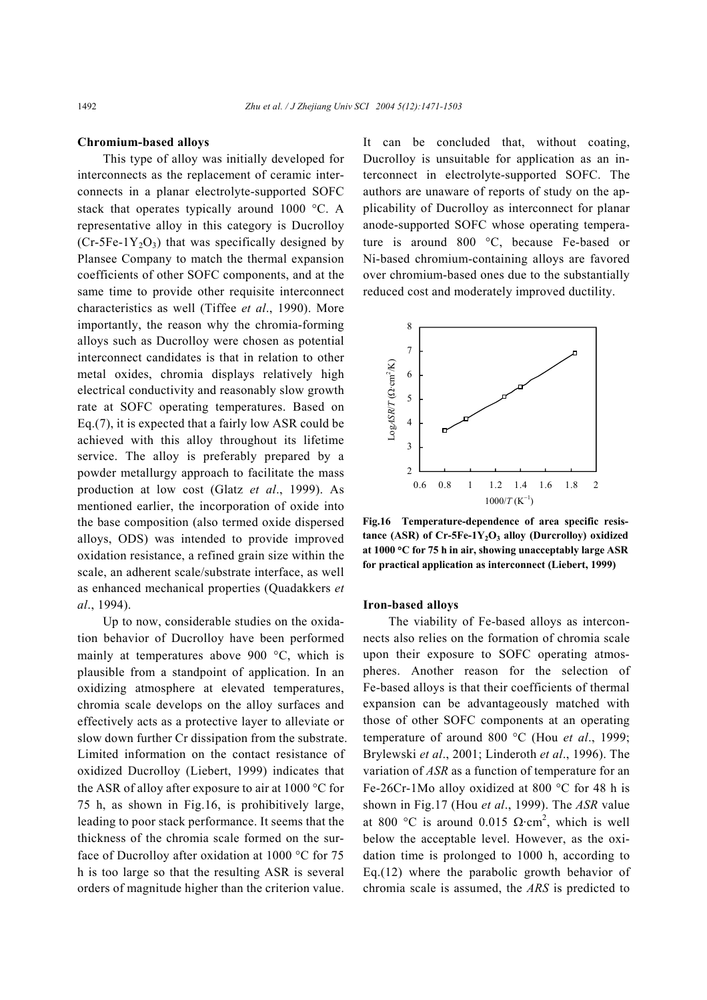#### **Chromium-based alloys**

This type of alloy was initially developed for interconnects as the replacement of ceramic interconnects in a planar electrolyte-supported SOFC stack that operates typically around 1000 °C. A representative alloy in this category is Ducrolloy  $(Cr-5Fe-1Y<sub>2</sub>O<sub>3</sub>)$  that was specifically designed by Plansee Company to match the thermal expansion coefficients of other SOFC components, and at the same time to provide other requisite interconnect characteristics as well (Tiffee *et al*., 1990). More importantly, the reason why the chromia-forming alloys such as Ducrolloy were chosen as potential interconnect candidates is that in relation to other metal oxides, chromia displays relatively high electrical conductivity and reasonably slow growth rate at SOFC operating temperatures. Based on Eq.(7), it is expected that a fairly low ASR could be achieved with this alloy throughout its lifetime service. The alloy is preferably prepared by a powder metallurgy approach to facilitate the mass production at low cost (Glatz *et al*., 1999). As mentioned earlier, the incorporation of oxide into the base composition (also termed oxide dispersed alloys, ODS) was intended to provide improved oxidation resistance, a refined grain size within the scale, an adherent scale/substrate interface, as well as enhanced mechanical properties (Quadakkers *et al*., 1994).

Up to now, considerable studies on the oxidation behavior of Ducrolloy have been performed mainly at temperatures above 900 °C, which is plausible from a standpoint of application. In an oxidizing atmosphere at elevated temperatures, chromia scale develops on the alloy surfaces and effectively acts as a protective layer to alleviate or slow down further Cr dissipation from the substrate. Limited information on the contact resistance of oxidized Ducrolloy (Liebert, 1999) indicates that the ASR of alloy after exposure to air at 1000 °C for 75 h, as shown in Fig.16, is prohibitively large, leading to poor stack performance. It seems that the thickness of the chromia scale formed on the surface of Ducrolloy after oxidation at 1000 °C for 75 h is too large so that the resulting ASR is several orders of magnitude higher than the criterion value.

It can be concluded that, without coating, Ducrolloy is unsuitable for application as an interconnect in electrolyte-supported SOFC. The authors are unaware of reports of study on the applicability of Ducrolloy as interconnect for planar anode-supported SOFC whose operating temperature is around 800 °C, because Fe-based or Ni-based chromium-containing alloys are favored over chromium-based ones due to the substantially reduced cost and moderately improved ductility.



**Fig.16 Temperature-dependence of area specific resis**tance (ASR) of Cr-5Fe-1Y<sub>2</sub>O<sub>3</sub> alloy (Durcrolloy) oxidized **at 1000** °**C for 75 h in air, showing unacceptably large ASR for practical application as interconnect (Liebert, 1999)** 

#### **Iron-based alloys**

The viability of Fe-based alloys as interconnects also relies on the formation of chromia scale upon their exposure to SOFC operating atmospheres. Another reason for the selection of Fe-based alloys is that their coefficients of thermal expansion can be advantageously matched with those of other SOFC components at an operating temperature of around 800 °C (Hou *et al*., 1999; Brylewski *et al*., 2001; Linderoth *et al*., 1996). The variation of *ASR* as a function of temperature for an Fe-26Cr-1Mo alloy oxidized at 800 °C for 48 h is shown in Fig.17 (Hou *et al*., 1999). The *ASR* value at 800 °C is around 0.015  $\Omega$ ·cm<sup>2</sup>, which is well below the acceptable level. However, as the oxidation time is prolonged to 1000 h, according to Eq.(12) where the parabolic growth behavior of chromia scale is assumed, the *ARS* is predicted to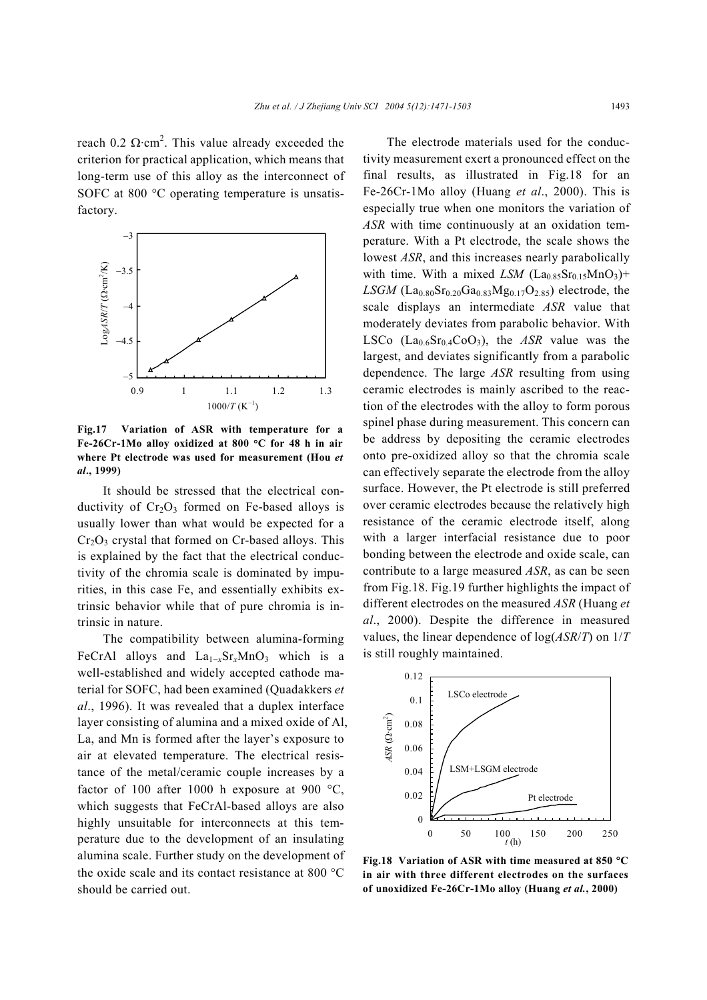reach 0.2  $\Omega$ ·cm<sup>2</sup>. This value already exceeded the criterion for practical application, which means that long-term use of this alloy as the interconnect of SOFC at 800 °C operating temperature is unsatisfactory.



**Fig.17 Variation of ASR with temperature for a Fe-26Cr-1Mo alloy oxidized at 800** °**C for 48 h in air where Pt electrode was used for measurement (Hou** *et al***., 1999)**

It should be stressed that the electrical conductivity of  $Cr_2O_3$  formed on Fe-based alloys is usually lower than what would be expected for a  $Cr_2O_3$  crystal that formed on Cr-based alloys. This is explained by the fact that the electrical conductivity of the chromia scale is dominated by impurities, in this case Fe, and essentially exhibits extrinsic behavior while that of pure chromia is intrinsic in nature.

The compatibility between alumina-forming FeCrAl alloys and La1<sup>−</sup>*x*Sr*x*MnO3 which is a well-established and widely accepted cathode material for SOFC, had been examined (Quadakkers *et al*., 1996). It was revealed that a duplex interface layer consisting of alumina and a mixed oxide of Al, La, and Mn is formed after the layer's exposure to air at elevated temperature. The electrical resistance of the metal/ceramic couple increases by a factor of 100 after 1000 h exposure at 900  $^{\circ}$ C, which suggests that FeCrAl-based alloys are also highly unsuitable for interconnects at this temperature due to the development of an insulating alumina scale. Further study on the development of the oxide scale and its contact resistance at 800 °C should be carried out.

The electrode materials used for the conductivity measurement exert a pronounced effect on the final results, as illustrated in Fig.18 for an Fe-26Cr-1Mo alloy (Huang *et al*., 2000). This is especially true when one monitors the variation of *ASR* with time continuously at an oxidation temperature. With a Pt electrode, the scale shows the lowest *ASR*, and this increases nearly parabolically with time. With a mixed  $LSM$  ( $La<sub>0.85</sub>Sr<sub>0.15</sub>MnO<sub>3</sub>$ )+  $LSGM$  (La<sub>0.80</sub>Sr<sub>0.20</sub>Ga<sub>0.83</sub>Mg<sub>0.17</sub>O<sub>2.85</sub>) electrode, the scale displays an intermediate *ASR* value that moderately deviates from parabolic behavior. With LSCo  $(La_{0.6}Sr_{0.4}CoO_3)$ , the *ASR* value was the largest, and deviates significantly from a parabolic dependence. The large *ASR* resulting from using ceramic electrodes is mainly ascribed to the reaction of the electrodes with the alloy to form porous spinel phase during measurement. This concern can be address by depositing the ceramic electrodes onto pre-oxidized alloy so that the chromia scale can effectively separate the electrode from the alloy surface. However, the Pt electrode is still preferred over ceramic electrodes because the relatively high resistance of the ceramic electrode itself, along with a larger interfacial resistance due to poor bonding between the electrode and oxide scale, can contribute to a large measured *ASR*, as can be seen from Fig.18. Fig.19 further highlights the impact of different electrodes on the measured *ASR* (Huang *et al*., 2000). Despite the difference in measured values, the linear dependence of log(*ASR*/*T*) on 1/*T* is still roughly maintained.



**Fig.18 Variation of ASR with time measured at 850** °**C in air with three different electrodes on the surfaces of unoxidized Fe-26Cr-1Mo alloy (Huang** *et al.***, 2000)**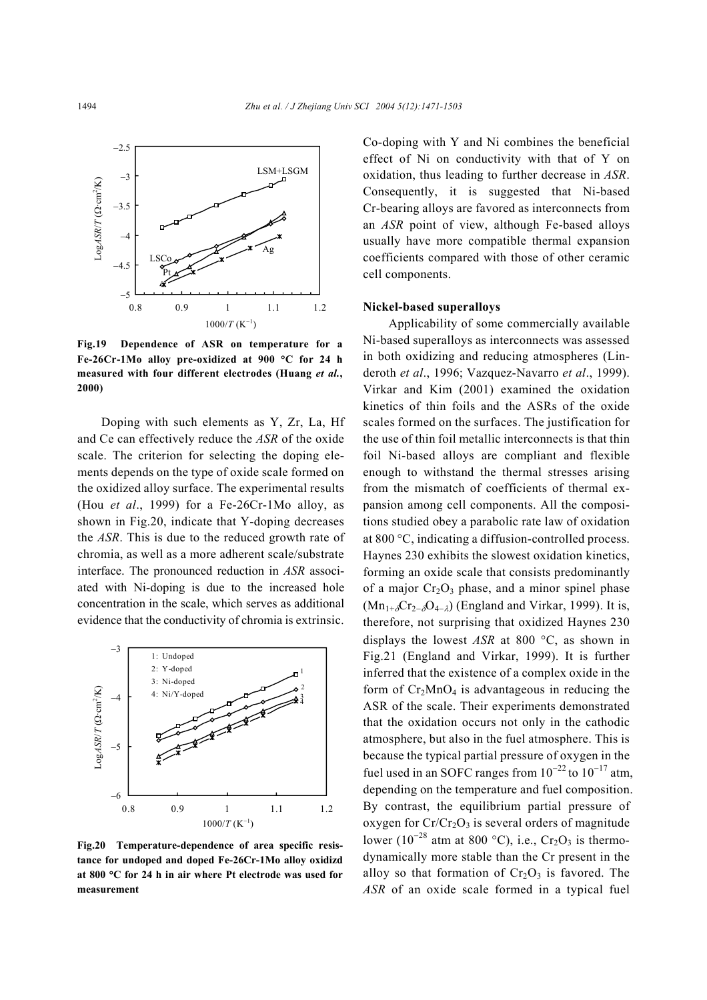

**Fig.19 Dependence of ASR on temperature for a Fe-26Cr-1Mo alloy pre-oxidized at 900** °**C for 24 h measured with four different electrodes (Huang** *et al.***, 2000)** 

Doping with such elements as Y, Zr, La, Hf and Ce can effectively reduce the *ASR* of the oxide scale. The criterion for selecting the doping elements depends on the type of oxide scale formed on the oxidized alloy surface. The experimental results (Hou *et al*., 1999) for a Fe-26Cr-1Mo alloy, as shown in Fig.20, indicate that Y-doping decreases the *ASR*. This is due to the reduced growth rate of chromia, as well as a more adherent scale/substrate interface. The pronounced reduction in *ASR* associated with Ni-doping is due to the increased hole concentration in the scale, which serves as additional evidence that the conductivity of chromia is extrinsic.



**Fig.20 Temperature-dependence of area specific resistance for undoped and doped Fe-26Cr-1Mo alloy oxidizd at 800** °**C for 24 h in air where Pt electrode was used for measurement** 

Co-doping with Y and Ni combines the beneficial effect of Ni on conductivity with that of Y on oxidation, thus leading to further decrease in *ASR*. Consequently, it is suggested that Ni-based Cr-bearing alloys are favored as interconnects from an *ASR* point of view, although Fe-based alloys usually have more compatible thermal expansion coefficients compared with those of other ceramic cell components.

## **Nickel-based superalloys**

Applicability of some commercially available Ni-based superalloys as interconnects was assessed in both oxidizing and reducing atmospheres (Linderoth *et al*., 1996; Vazquez-Navarro *et al*., 1999). Virkar and Kim (2001) examined the oxidation kinetics of thin foils and the ASRs of the oxide scales formed on the surfaces. The justification for the use of thin foil metallic interconnects is that thin foil Ni-based alloys are compliant and flexible enough to withstand the thermal stresses arising from the mismatch of coefficients of thermal expansion among cell components. All the compositions studied obey a parabolic rate law of oxidation at 800 °C, indicating a diffusion-controlled process. Haynes 230 exhibits the slowest oxidation kinetics, forming an oxide scale that consists predominantly of a major  $Cr_2O_3$  phase, and a minor spinel phase  $(Mn_{1+\delta}Cr_{2-\delta}O_{4-\delta})$  (England and Virkar, 1999). It is, therefore, not surprising that oxidized Haynes 230 displays the lowest *ASR* at 800 °C, as shown in Fig.21 (England and Virkar, 1999). It is further inferred that the existence of a complex oxide in the form of  $Cr<sub>2</sub>MnO<sub>4</sub>$  is advantageous in reducing the ASR of the scale. Their experiments demonstrated that the oxidation occurs not only in the cathodic atmosphere, but also in the fuel atmosphere. This is because the typical partial pressure of oxygen in the fuel used in an SOFC ranges from  $10^{-22}$  to  $10^{-17}$  atm, depending on the temperature and fuel composition. By contrast, the equilibrium partial pressure of oxygen for  $Cr/Cr<sub>2</sub>O<sub>3</sub>$  is several orders of magnitude lower (10<sup>-28</sup> atm at 800 °C), i.e., Cr<sub>2</sub>O<sub>3</sub> is thermodynamically more stable than the Cr present in the alloy so that formation of  $Cr<sub>2</sub>O<sub>3</sub>$  is favored. The *ASR* of an oxide scale formed in a typical fuel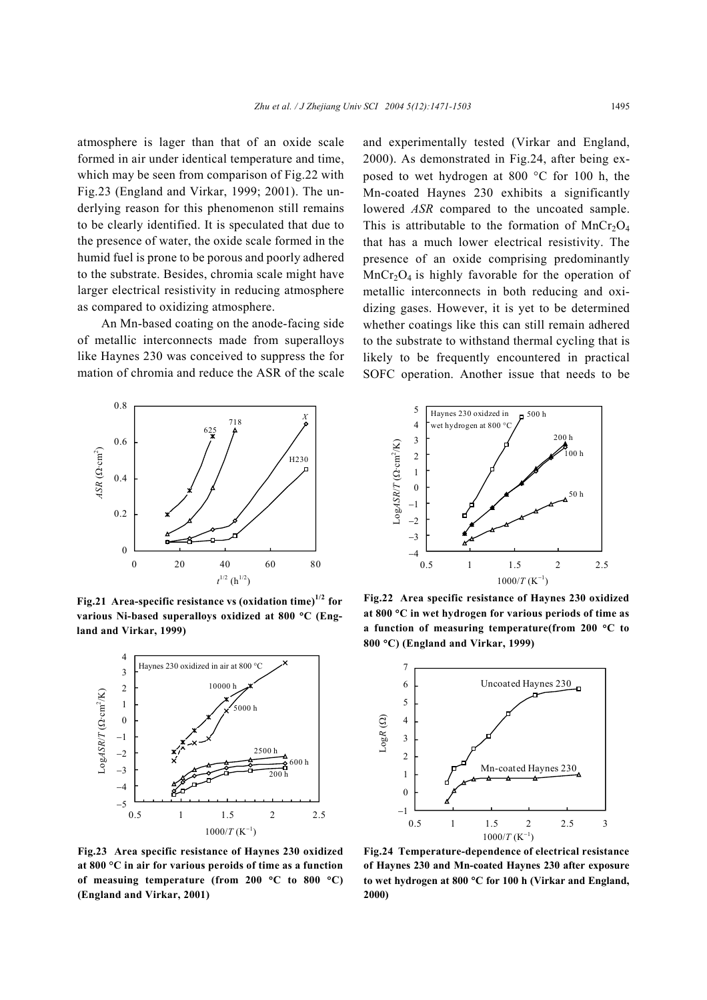atmosphere is lager than that of an oxide scale formed in air under identical temperature and time, which may be seen from comparison of Fig.22 with Fig.23 (England and Virkar, 1999; 2001). The underlying reason for this phenomenon still remains to be clearly identified. It is speculated that due to the presence of water, the oxide scale formed in the humid fuel is prone to be porous and poorly adhered to the substrate. Besides, chromia scale might have larger electrical resistivity in reducing atmosphere as compared to oxidizing atmosphere.

An Mn-based coating on the anode-facing side of metallic interconnects made from superalloys like Haynes 230 was conceived to suppress the for mation of chromia and reduce the ASR of the scale and experimentally tested (Virkar and England, 2000). As demonstrated in Fig.24, after being exposed to wet hydrogen at 800 °C for 100 h, the Mn-coated Haynes 230 exhibits a significantly lowered *ASR* compared to the uncoated sample. This is attributable to the formation of  $MnCr<sub>2</sub>O<sub>4</sub>$ that has a much lower electrical resistivity. The presence of an oxide comprising predominantly  $MnCr<sub>2</sub>O<sub>4</sub>$  is highly favorable for the operation of metallic interconnects in both reducing and oxidizing gases. However, it is yet to be determined whether coatings like this can still remain adhered to the substrate to withstand thermal cycling that is likely to be frequently encountered in practical SOFC operation. Another issue that needs to be



**Fig.21 Area-specific resistance vs (oxidation time)1/2 for various Ni-based superalloys oxidized at 800** °**C (England and Virkar, 1999)**



**Fig.23 Area specific resistance of Haynes 230 oxidized at 800 °C in air for various peroids of time as a function of measuing temperature (from 200** °**C to 800** °**C) (England and Virkar, 2001)** 



 **800** °**C) (England and Virkar, 1999) Fig.22 Area specific resistance of Haynes 230 oxidized at 800** °**C in wet hydrogen for various periods of time as a function of measuring temperature(from 200** °**C to**



**Fig.24 Temperature-dependence of electrical resistance of Haynes 230 and Mn-coated Haynes 230 after exposure to wet hydrogen at 800** °**C for 100 h (Virkar and England, 2000)**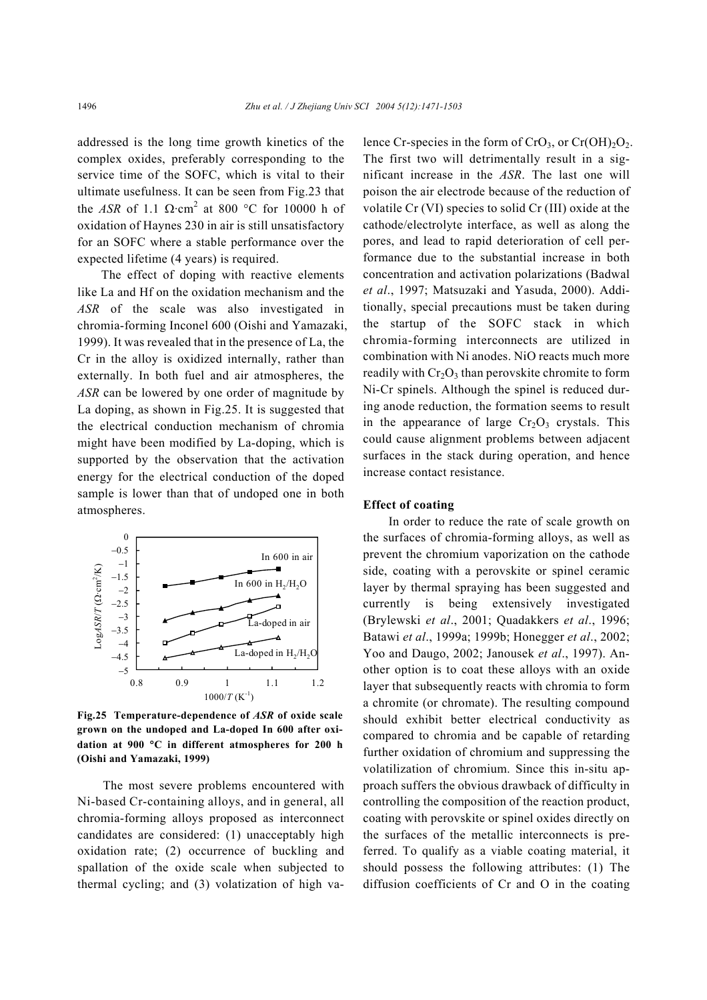addressed is the long time growth kinetics of the complex oxides, preferably corresponding to the service time of the SOFC, which is vital to their ultimate usefulness. It can be seen from Fig.23 that the *ASR* of 1.1  $\Omega$ ·cm<sup>2</sup> at 800 °C for 10000 h of oxidation of Haynes 230 in air is still unsatisfactory for an SOFC where a stable performance over the expected lifetime (4 years) is required.

The effect of doping with reactive elements like La and Hf on the oxidation mechanism and the *ASR* of the scale was also investigated in chromia-forming Inconel 600 (Oishi and Yamazaki, 1999). It was revealed that in the presence of La, the Cr in the alloy is oxidized internally, rather than externally. In both fuel and air atmospheres, the *ASR* can be lowered by one order of magnitude by La doping, as shown in Fig.25. It is suggested that the electrical conduction mechanism of chromia might have been modified by La-doping, which is supported by the observation that the activation energy for the electrical conduction of the doped sample is lower than that of undoped one in both atmospheres.



**Fig.25 Temperature-dependence of** *ASR* **of oxide scale grown on the undoped and La-doped In 600 after oxidation at 900** °**C in different atmospheres for 200 h (Oishi and Yamazaki, 1999)** 

The most severe problems encountered with Ni-based Cr-containing alloys, and in general, all chromia-forming alloys proposed as interconnect candidates are considered: (1) unacceptably high oxidation rate; (2) occurrence of buckling and spallation of the oxide scale when subjected to thermal cycling; and (3) volatization of high valence Cr-species in the form of  $CrO<sub>3</sub>$ , or  $Cr(OH)<sub>2</sub>O<sub>2</sub>$ . The first two will detrimentally result in a significant increase in the *ASR*. The last one will poison the air electrode because of the reduction of volatile Cr (VI) species to solid Cr (III) oxide at the cathode/electrolyte interface, as well as along the pores, and lead to rapid deterioration of cell performance due to the substantial increase in both concentration and activation polarizations (Badwal *et al*., 1997; Matsuzaki and Yasuda, 2000). Additionally, special precautions must be taken during the startup of the SOFC stack in which chromia-forming interconnects are utilized in combination with Ni anodes. NiO reacts much more readily with  $Cr_2O_3$  than perovskite chromite to form Ni-Cr spinels. Although the spinel is reduced during anode reduction, the formation seems to result in the appearance of large  $Cr<sub>2</sub>O<sub>3</sub>$  crystals. This could cause alignment problems between adjacent surfaces in the stack during operation, and hence increase contact resistance.

#### **Effect of coating**

In order to reduce the rate of scale growth on the surfaces of chromia-forming alloys, as well as prevent the chromium vaporization on the cathode side, coating with a perovskite or spinel ceramic layer by thermal spraying has been suggested and currently is being extensively investigated (Brylewski *et al*., 2001; Quadakkers *et al*., 1996; Batawi *et al*., 1999a; 1999b; Honegger *et al*., 2002; Yoo and Daugo, 2002; Janousek *et al*., 1997). Another option is to coat these alloys with an oxide layer that subsequently reacts with chromia to form a chromite (or chromate). The resulting compound should exhibit better electrical conductivity as compared to chromia and be capable of retarding further oxidation of chromium and suppressing the volatilization of chromium. Since this in-situ approach suffers the obvious drawback of difficulty in controlling the composition of the reaction product, coating with perovskite or spinel oxides directly on the surfaces of the metallic interconnects is preferred. To qualify as a viable coating material, it should possess the following attributes: (1) The diffusion coefficients of Cr and O in the coating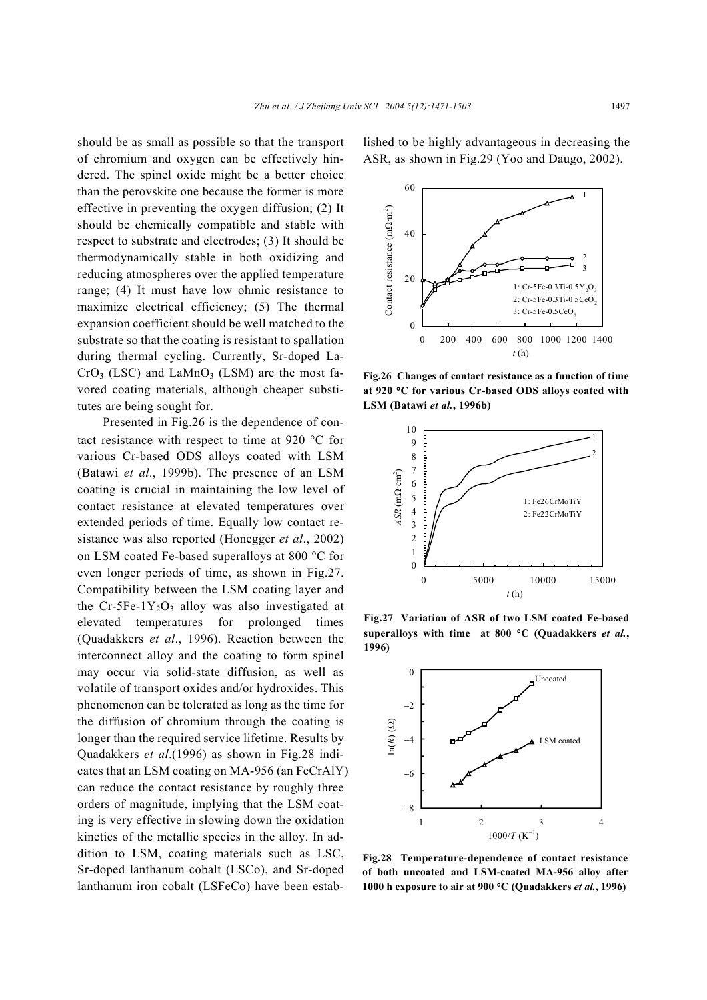should be as small as possible so that the transport of chromium and oxygen can be effectively hindered. The spinel oxide might be a better choice than the perovskite one because the former is more effective in preventing the oxygen diffusion; (2) It should be chemically compatible and stable with respect to substrate and electrodes; (3) It should be thermodynamically stable in both oxidizing and reducing atmospheres over the applied temperature range; (4) It must have low ohmic resistance to maximize electrical efficiency; (5) The thermal expansion coefficient should be well matched to the substrate so that the coating is resistant to spallation during thermal cycling. Currently, Sr-doped La- $CrO<sub>3</sub>$  (LSC) and LaMnO<sub>3</sub> (LSM) are the most favored coating materials, although cheaper substitutes are being sought for.

Presented in Fig.26 is the dependence of contact resistance with respect to time at 920 °C for various Cr-based ODS alloys coated with LSM (Batawi *et al*., 1999b). The presence of an LSM coating is crucial in maintaining the low level of contact resistance at elevated temperatures over extended periods of time. Equally low contact resistance was also reported (Honegger *et al*., 2002) on LSM coated Fe-based superalloys at 800 °C for even longer periods of time, as shown in Fig.27. Compatibility between the LSM coating layer and the Cr-5Fe-1Y<sub>2</sub>O<sub>3</sub> alloy was also investigated at elevated temperatures for prolonged times (Quadakkers *et al*., 1996). Reaction between the interconnect alloy and the coating to form spinel may occur via solid-state diffusion, as well as volatile of transport oxides and/or hydroxides. This phenomenon can be tolerated as long as the time for the diffusion of chromium through the coating is longer than the required service lifetime. Results by Quadakkers *et al*.(1996) as shown in Fig.28 indicates that an LSM coating on MA-956 (an FeCrAlY) can reduce the contact resistance by roughly three orders of magnitude, implying that the LSM coating is very effective in slowing down the oxidation kinetics of the metallic species in the alloy. In addition to LSM, coating materials such as LSC, Sr-doped lanthanum cobalt (LSCo), and Sr-doped lanthanum iron cobalt (LSFeCo) have been established to be highly advantageous in decreasing the ASR, as shown in Fig.29 (Yoo and Daugo, 2002).



**Fig.26 Changes of contact resistance as a function of time at 920** °**C for various Cr-based ODS alloys coated with LSM (Batawi** *et al.***, 1996b)** 



**Fig.27 Variation of ASR of two LSM coated Fe-based superalloys with time at 800** °**C (Quadakkers** *et al.***, 1996)** 



**Fig.28 Temperature-dependence of contact resistance of both uncoated and LSM-coated MA-956 alloy after 1000 h exposure to air at 900** °**C (Quadakkers** *et al.***, 1996)**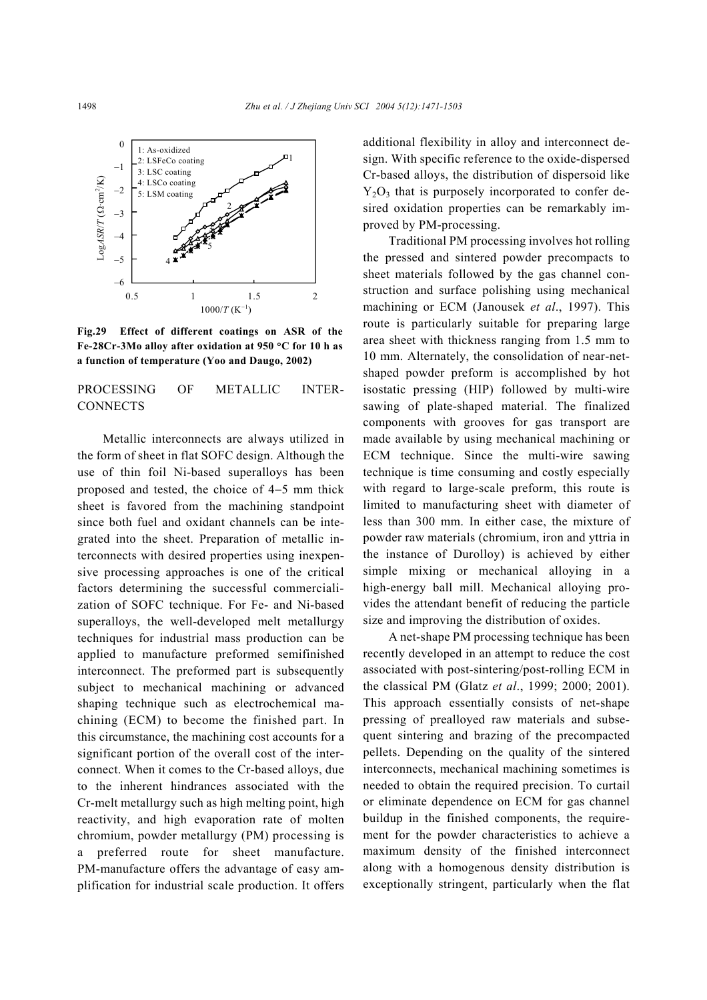

**Fig.29 Effect of different coatings on ASR of the Fe-28Cr-3Mo alloy after oxidation at 950** °**C for 10 h as a function of temperature (Yoo and Daugo, 2002)** 

## PROCESSING OF METALLIC INTER-CONNECTS

Metallic interconnects are always utilized in the form of sheet in flat SOFC design. Although the use of thin foil Ni-based superalloys has been proposed and tested, the choice of 4−5 mm thick sheet is favored from the machining standpoint since both fuel and oxidant channels can be integrated into the sheet. Preparation of metallic interconnects with desired properties using inexpensive processing approaches is one of the critical factors determining the successful commercialization of SOFC technique. For Fe- and Ni-based superalloys, the well-developed melt metallurgy techniques for industrial mass production can be applied to manufacture preformed semifinished interconnect. The preformed part is subsequently subject to mechanical machining or advanced shaping technique such as electrochemical machining (ECM) to become the finished part. In this circumstance, the machining cost accounts for a significant portion of the overall cost of the interconnect. When it comes to the Cr-based alloys, due to the inherent hindrances associated with the Cr-melt metallurgy such as high melting point, high reactivity, and high evaporation rate of molten chromium, powder metallurgy (PM) processing is a preferred route for sheet manufacture. PM-manufacture offers the advantage of easy amplification for industrial scale production. It offers

additional flexibility in alloy and interconnect design. With specific reference to the oxide-dispersed Cr-based alloys, the distribution of dispersoid like  $Y_2O_3$  that is purposely incorporated to confer desired oxidation properties can be remarkably improved by PM-processing.

Traditional PM processing involves hot rolling the pressed and sintered powder precompacts to sheet materials followed by the gas channel construction and surface polishing using mechanical machining or ECM (Janousek *et al*., 1997). This route is particularly suitable for preparing large area sheet with thickness ranging from 1.5 mm to 10 mm. Alternately, the consolidation of near-netshaped powder preform is accomplished by hot isostatic pressing (HIP) followed by multi-wire sawing of plate-shaped material. The finalized components with grooves for gas transport are made available by using mechanical machining or ECM technique. Since the multi-wire sawing technique is time consuming and costly especially with regard to large-scale preform, this route is limited to manufacturing sheet with diameter of less than 300 mm. In either case, the mixture of powder raw materials (chromium, iron and yttria in the instance of Durolloy) is achieved by either simple mixing or mechanical alloying in a high-energy ball mill. Mechanical alloying provides the attendant benefit of reducing the particle size and improving the distribution of oxides.

A net-shape PM processing technique has been recently developed in an attempt to reduce the cost associated with post-sintering/post-rolling ECM in the classical PM (Glatz *et al*., 1999; 2000; 2001). This approach essentially consists of net-shape pressing of prealloyed raw materials and subsequent sintering and brazing of the precompacted pellets. Depending on the quality of the sintered interconnects, mechanical machining sometimes is needed to obtain the required precision. To curtail or eliminate dependence on ECM for gas channel buildup in the finished components, the requirement for the powder characteristics to achieve a maximum density of the finished interconnect along with a homogenous density distribution is exceptionally stringent, particularly when the flat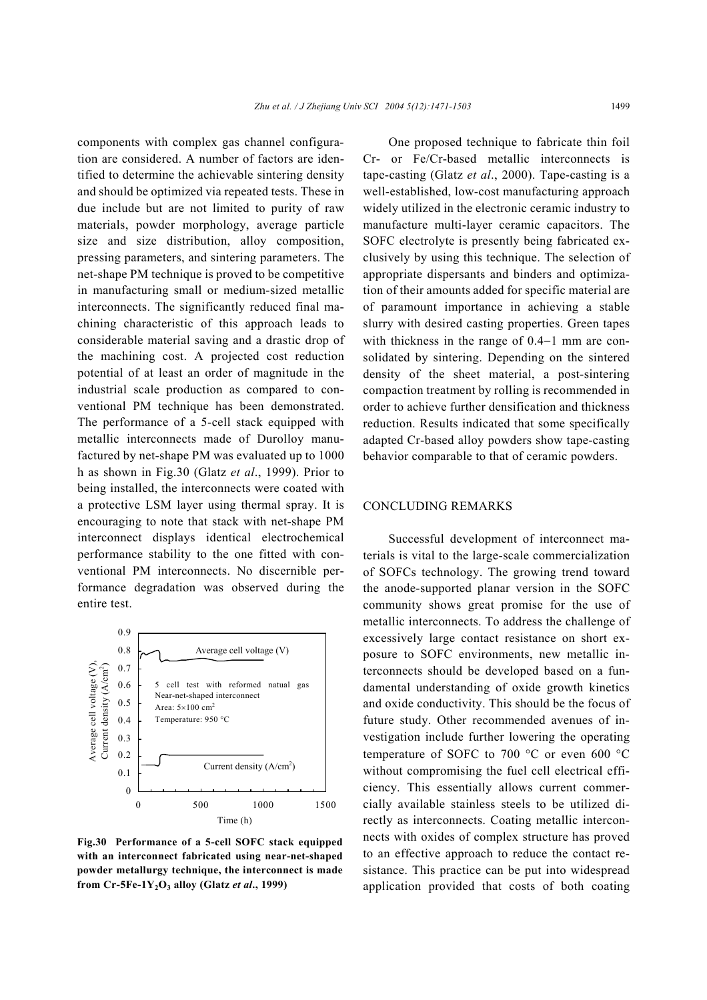components with complex gas channel configuration are considered. A number of factors are identified to determine the achievable sintering density and should be optimized via repeated tests. These in due include but are not limited to purity of raw materials, powder morphology, average particle size and size distribution, alloy composition, pressing parameters, and sintering parameters. The net-shape PM technique is proved to be competitive in manufacturing small or medium-sized metallic interconnects. The significantly reduced final machining characteristic of this approach leads to considerable material saving and a drastic drop of the machining cost. A projected cost reduction potential of at least an order of magnitude in the industrial scale production as compared to conventional PM technique has been demonstrated. The performance of a 5-cell stack equipped with metallic interconnects made of Durolloy manufactured by net-shape PM was evaluated up to 1000 h as shown in Fig.30 (Glatz *et al*., 1999). Prior to being installed, the interconnects were coated with a protective LSM layer using thermal spray. It is encouraging to note that stack with net-shape PM interconnect displays identical electrochemical performance stability to the one fitted with conventional PM interconnects. No discernible performance degradation was observed during the entire test.



**Fig.30 Performance of a 5-cell SOFC stack equipped with an interconnect fabricated using near-net-shaped powder metallurgy technique, the interconnect is made from Cr-5Fe-1Y2O3 alloy (Glatz** *et al***., 1999)** 

One proposed technique to fabricate thin foil Cr- or Fe/Cr-based metallic interconnects is tape-casting (Glatz *et al*., 2000). Tape-casting is a well-established, low-cost manufacturing approach widely utilized in the electronic ceramic industry to manufacture multi-layer ceramic capacitors. The SOFC electrolyte is presently being fabricated exclusively by using this technique. The selection of appropriate dispersants and binders and optimization of their amounts added for specific material are of paramount importance in achieving a stable slurry with desired casting properties. Green tapes with thickness in the range of 0.4−1 mm are consolidated by sintering. Depending on the sintered density of the sheet material, a post-sintering compaction treatment by rolling is recommended in order to achieve further densification and thickness reduction. Results indicated that some specifically adapted Cr-based alloy powders show tape-casting behavior comparable to that of ceramic powders.

#### CONCLUDING REMARKS

Successful development of interconnect materials is vital to the large-scale commercialization of SOFCs technology. The growing trend toward the anode-supported planar version in the SOFC community shows great promise for the use of metallic interconnects. To address the challenge of excessively large contact resistance on short exposure to SOFC environments, new metallic interconnects should be developed based on a fundamental understanding of oxide growth kinetics and oxide conductivity. This should be the focus of future study. Other recommended avenues of investigation include further lowering the operating temperature of SOFC to 700 °C or even 600 °C without compromising the fuel cell electrical efficiency. This essentially allows current commercially available stainless steels to be utilized directly as interconnects. Coating metallic interconnects with oxides of complex structure has proved to an effective approach to reduce the contact resistance. This practice can be put into widespread application provided that costs of both coating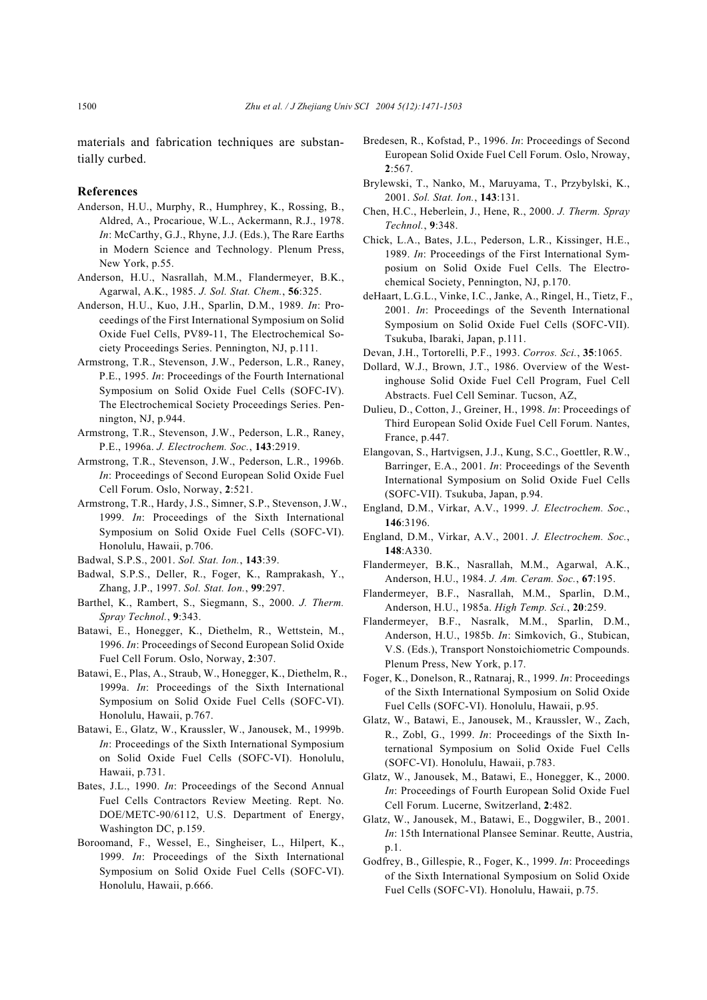materials and fabrication techniques are substantially curbed.

#### **References**

- Anderson, H.U., Murphy, R., Humphrey, K., Rossing, B., Aldred, A., Procarioue, W.L., Ackermann, R.J., 1978. *In*: McCarthy, G.J., Rhyne, J.J. (Eds.), The Rare Earths in Modern Science and Technology. Plenum Press, New York, p.55.
- Anderson, H.U., Nasrallah, M.M., Flandermeyer, B.K., Agarwal, A.K., 1985. *J. Sol. Stat. Chem.*, **56**:325.
- Anderson, H.U., Kuo, J.H., Sparlin, D.M., 1989. *In*: Proceedings of the First International Symposium on Solid Oxide Fuel Cells, PV89-11, The Electrochemical Society Proceedings Series. Pennington, NJ, p.111.
- Armstrong, T.R., Stevenson, J.W., Pederson, L.R., Raney, P.E., 1995. *In*: Proceedings of the Fourth International Symposium on Solid Oxide Fuel Cells (SOFC-IV). The Electrochemical Society Proceedings Series. Pennington, NJ, p.944.
- Armstrong, T.R., Stevenson, J.W., Pederson, L.R., Raney, P.E., 1996a. *J. Electrochem. Soc.*, **143**:2919.
- Armstrong, T.R., Stevenson, J.W., Pederson, L.R., 1996b. *In*: Proceedings of Second European Solid Oxide Fuel Cell Forum. Oslo, Norway, **2**:521.
- Armstrong, T.R., Hardy, J.S., Simner, S.P., Stevenson, J.W., 1999. *In*: Proceedings of the Sixth International Symposium on Solid Oxide Fuel Cells (SOFC-VI). Honolulu, Hawaii, p.706.
- Badwal, S.P.S., 2001. *Sol. Stat. Ion.*, **143**:39.
- Badwal, S.P.S., Deller, R., Foger, K., Ramprakash, Y., Zhang, J.P., 1997. *Sol. Stat. Ion.*, **99**:297.
- Barthel, K., Rambert, S., Siegmann, S., 2000. *J. Therm. Spray Technol.*, **9**:343.
- Batawi, E., Honegger, K., Diethelm, R., Wettstein, M., 1996. *In*: Proceedings of Second European Solid Oxide Fuel Cell Forum. Oslo, Norway, **2**:307.
- Batawi, E., Plas, A., Straub, W., Honegger, K., Diethelm, R., 1999a. *In*: Proceedings of the Sixth International Symposium on Solid Oxide Fuel Cells (SOFC-VI). Honolulu, Hawaii, p.767.
- Batawi, E., Glatz, W., Kraussler, W., Janousek, M., 1999b. *In*: Proceedings of the Sixth International Symposium on Solid Oxide Fuel Cells (SOFC-VI). Honolulu, Hawaii, p.731.
- Bates, J.L., 1990. *In*: Proceedings of the Second Annual Fuel Cells Contractors Review Meeting. Rept. No. DOE/METC-90/6112, U.S. Department of Energy, Washington DC, p.159.
- Boroomand, F., Wessel, E., Singheiser, L., Hilpert, K., 1999. *In*: Proceedings of the Sixth International Symposium on Solid Oxide Fuel Cells (SOFC-VI). Honolulu, Hawaii, p.666.
- Bredesen, R., Kofstad, P., 1996. *In*: Proceedings of Second European Solid Oxide Fuel Cell Forum. Oslo, Nroway, **2**:567.
- Brylewski, T., Nanko, M., Maruyama, T., Przybylski, K., 2001. *Sol. Stat. Ion.*, **143**:131.
- Chen, H.C., Heberlein, J., Hene, R., 2000. *J. Therm. Spray Technol.*, **9**:348.
- Chick, L.A., Bates, J.L., Pederson, L.R., Kissinger, H.E., 1989. *In*: Proceedings of the First International Symposium on Solid Oxide Fuel Cells. The Electrochemical Society, Pennington, NJ, p.170.
- deHaart, L.G.L., Vinke, I.C., Janke, A., Ringel, H., Tietz, F., 2001. *In*: Proceedings of the Seventh International Symposium on Solid Oxide Fuel Cells (SOFC-VII). Tsukuba, Ibaraki, Japan, p.111.
- Devan, J.H., Tortorelli, P.F., 1993. *Corros. Sci.*, **35**:1065.
- Dollard, W.J., Brown, J.T., 1986. Overview of the Westinghouse Solid Oxide Fuel Cell Program, Fuel Cell Abstracts. Fuel Cell Seminar. Tucson, AZ,
- Dulieu, D., Cotton, J., Greiner, H., 1998. *In*: Proceedings of Third European Solid Oxide Fuel Cell Forum. Nantes, France, p.447.
- Elangovan, S., Hartvigsen, J.J., Kung, S.C., Goettler, R.W., Barringer, E.A., 2001. *In*: Proceedings of the Seventh International Symposium on Solid Oxide Fuel Cells (SOFC-VII). Tsukuba, Japan, p.94.
- England, D.M., Virkar, A.V., 1999. *J. Electrochem. Soc.*, **146**:3196.
- England, D.M., Virkar, A.V., 2001. *J. Electrochem. Soc.*, **148**:A330.
- Flandermeyer, B.K., Nasrallah, M.M., Agarwal, A.K., Anderson, H.U., 1984. *J. Am. Ceram. Soc.*, **67**:195.
- Flandermeyer, B.F., Nasrallah, M.M., Sparlin, D.M., Anderson, H.U., 1985a. *High Temp. Sci.*, **20**:259.
- Flandermeyer, B.F., Nasralk, M.M., Sparlin, D.M., Anderson, H.U., 1985b. *In*: Simkovich, G., Stubican, V.S. (Eds.), Transport Nonstoichiometric Compounds. Plenum Press, New York, p.17.
- Foger, K., Donelson, R., Ratnaraj, R., 1999. *In*: Proceedings of the Sixth International Symposium on Solid Oxide Fuel Cells (SOFC-VI). Honolulu, Hawaii, p.95.
- Glatz, W., Batawi, E., Janousek, M., Kraussler, W., Zach, R., Zobl, G., 1999. *In*: Proceedings of the Sixth International Symposium on Solid Oxide Fuel Cells (SOFC-VI). Honolulu, Hawaii, p.783.
- Glatz, W., Janousek, M., Batawi, E., Honegger, K., 2000. *In*: Proceedings of Fourth European Solid Oxide Fuel Cell Forum. Lucerne, Switzerland, **2**:482.
- Glatz, W., Janousek, M., Batawi, E., Doggwiler, B., 2001. *In*: 15th International Plansee Seminar. Reutte, Austria, p.1.
- Godfrey, B., Gillespie, R., Foger, K., 1999. *In*: Proceedings of the Sixth International Symposium on Solid Oxide Fuel Cells (SOFC-VI). Honolulu, Hawaii, p.75.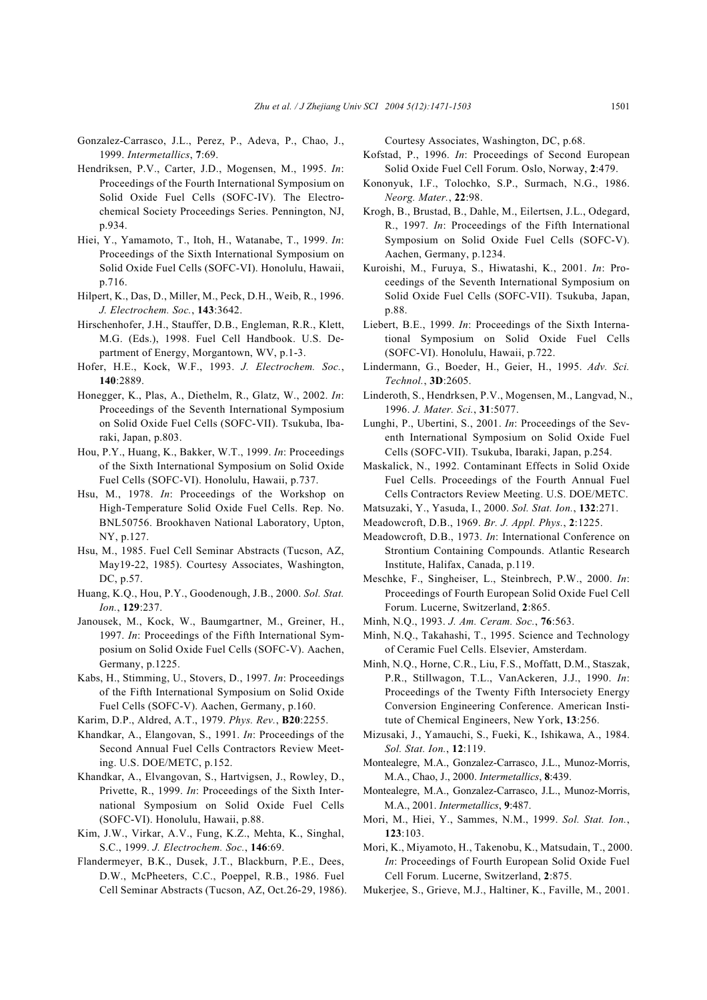- Gonzalez-Carrasco, J.L., Perez, P., Adeva, P., Chao, J., 1999. *Intermetallics*, **7**:69.
- Hendriksen, P.V., Carter, J.D., Mogensen, M., 1995. *In*: Proceedings of the Fourth International Symposium on Solid Oxide Fuel Cells (SOFC-IV). The Electrochemical Society Proceedings Series. Pennington, NJ, p.934.
- Hiei, Y., Yamamoto, T., Itoh, H., Watanabe, T., 1999. *In*: Proceedings of the Sixth International Symposium on Solid Oxide Fuel Cells (SOFC-VI). Honolulu, Hawaii, p.716.
- Hilpert, K., Das, D., Miller, M., Peck, D.H., Weib, R., 1996. *J. Electrochem. Soc.*, **143**:3642.
- Hirschenhofer, J.H., Stauffer, D.B., Engleman, R.R., Klett, M.G. (Eds.), 1998. Fuel Cell Handbook. U.S. Department of Energy, Morgantown, WV, p.1-3.
- Hofer, H.E., Kock, W.F., 1993. *J. Electrochem. Soc.*, **140**:2889.
- Honegger, K., Plas, A., Diethelm, R., Glatz, W., 2002. *In*: Proceedings of the Seventh International Symposium on Solid Oxide Fuel Cells (SOFC-VII). Tsukuba, Ibaraki, Japan, p.803.
- Hou, P.Y., Huang, K., Bakker, W.T., 1999. *In*: Proceedings of the Sixth International Symposium on Solid Oxide Fuel Cells (SOFC-VI). Honolulu, Hawaii, p.737.
- Hsu, M., 1978. *In*: Proceedings of the Workshop on High-Temperature Solid Oxide Fuel Cells. Rep. No. BNL50756. Brookhaven National Laboratory, Upton, NY, p.127.
- Hsu, M., 1985. Fuel Cell Seminar Abstracts (Tucson, AZ, May19-22, 1985). Courtesy Associates, Washington, DC, p.57.
- Huang, K.Q., Hou, P.Y., Goodenough, J.B., 2000. *Sol. Stat. Ion.*, **129**:237.
- Janousek, M., Kock, W., Baumgartner, M., Greiner, H., 1997. *In*: Proceedings of the Fifth International Symposium on Solid Oxide Fuel Cells (SOFC-V). Aachen, Germany, p.1225.
- Kabs, H., Stimming, U., Stovers, D., 1997. *In*: Proceedings of the Fifth International Symposium on Solid Oxide Fuel Cells (SOFC-V). Aachen, Germany, p.160.
- Karim, D.P., Aldred, A.T., 1979. *Phys. Rev.*, **B20**:2255.
- Khandkar, A., Elangovan, S., 1991. *In*: Proceedings of the Second Annual Fuel Cells Contractors Review Meeting. U.S. DOE/METC, p.152.
- Khandkar, A., Elvangovan, S., Hartvigsen, J., Rowley, D., Privette, R., 1999. *In*: Proceedings of the Sixth International Symposium on Solid Oxide Fuel Cells (SOFC-VI). Honolulu, Hawaii, p.88.
- Kim, J.W., Virkar, A.V., Fung, K.Z., Mehta, K., Singhal, S.C., 1999. *J. Electrochem. Soc.*, **146**:69.
- Flandermeyer, B.K., Dusek, J.T., Blackburn, P.E., Dees, D.W., McPheeters, C.C., Poeppel, R.B., 1986. Fuel Cell Seminar Abstracts (Tucson, AZ, Oct.26-29, 1986).

Courtesy Associates, Washington, DC, p.68.

- Kofstad, P., 1996. *In*: Proceedings of Second European Solid Oxide Fuel Cell Forum. Oslo, Norway, **2**:479.
- Kononyuk, I.F., Tolochko, S.P., Surmach, N.G., 1986. *Neorg. Mater.*, **22**:98.
- Krogh, B., Brustad, B., Dahle, M., Eilertsen, J.L., Odegard, R., 1997. *In*: Proceedings of the Fifth International Symposium on Solid Oxide Fuel Cells (SOFC-V). Aachen, Germany, p.1234.
- Kuroishi, M., Furuya, S., Hiwatashi, K., 2001. *In*: Proceedings of the Seventh International Symposium on Solid Oxide Fuel Cells (SOFC-VII). Tsukuba, Japan, p.88.
- Liebert, B.E., 1999. *In*: Proceedings of the Sixth International Symposium on Solid Oxide Fuel Cells (SOFC-VI). Honolulu, Hawaii, p.722.
- Lindermann, G., Boeder, H., Geier, H., 1995. *Adv. Sci. Technol.*, **3D**:2605.
- Linderoth, S., Hendrksen, P.V., Mogensen, M., Langvad, N., 1996. *J. Mater. Sci.*, **31**:5077.
- Lunghi, P., Ubertini, S., 2001. *In*: Proceedings of the Seventh International Symposium on Solid Oxide Fuel Cells (SOFC-VII). Tsukuba, Ibaraki, Japan, p.254.
- Maskalick, N., 1992. Contaminant Effects in Solid Oxide Fuel Cells. Proceedings of the Fourth Annual Fuel Cells Contractors Review Meeting. U.S. DOE/METC.
- Matsuzaki, Y., Yasuda, I., 2000. *Sol. Stat. Ion.*, **132**:271.
- Meadowcroft, D.B., 1969. *Br. J. Appl. Phys.*, **2**:1225.
- Meadowcroft, D.B., 1973. *In*: International Conference on Strontium Containing Compounds. Atlantic Research Institute, Halifax, Canada, p.119.
- Meschke, F., Singheiser, L., Steinbrech, P.W., 2000. *In*: Proceedings of Fourth European Solid Oxide Fuel Cell Forum. Lucerne, Switzerland, **2**:865.
- Minh, N.Q., 1993. *J. Am. Ceram. Soc.*, **76**:563.
- Minh, N.Q., Takahashi, T., 1995. Science and Technology of Ceramic Fuel Cells. Elsevier, Amsterdam.
- Minh, N.Q., Horne, C.R., Liu, F.S., Moffatt, D.M., Staszak, P.R., Stillwagon, T.L., VanAckeren, J.J., 1990. *In*: Proceedings of the Twenty Fifth Intersociety Energy Conversion Engineering Conference. American Institute of Chemical Engineers, New York, **13**:256.
- Mizusaki, J., Yamauchi, S., Fueki, K., Ishikawa, A., 1984. *Sol. Stat. Ion.*, **12**:119.
- Montealegre, M.A., Gonzalez-Carrasco, J.L., Munoz-Morris, M.A., Chao, J., 2000. *Intermetallics*, **8**:439.
- Montealegre, M.A., Gonzalez-Carrasco, J.L., Munoz-Morris, M.A., 2001. *Intermetallics*, **9**:487.
- Mori, M., Hiei, Y., Sammes, N.M., 1999. *Sol. Stat. Ion.*, **123**:103.
- Mori, K., Miyamoto, H., Takenobu, K., Matsudain, T., 2000. *In*: Proceedings of Fourth European Solid Oxide Fuel Cell Forum. Lucerne, Switzerland, **2**:875.
- Mukerjee, S., Grieve, M.J., Haltiner, K., Faville, M., 2001.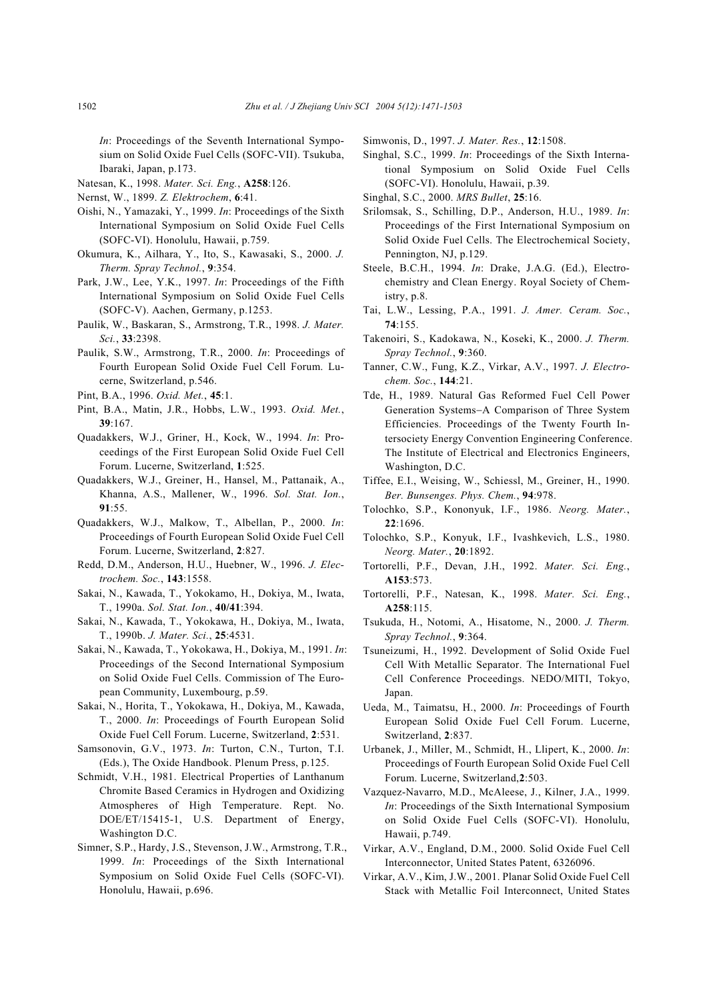*In*: Proceedings of the Seventh International Symposium on Solid Oxide Fuel Cells (SOFC-VII). Tsukuba, Ibaraki, Japan, p.173.

- Natesan, K., 1998. *Mater. Sci. Eng.*, **A258**:126.
- Nernst, W., 1899. *Z. Elektrochem*, **6**:41.
- Oishi, N., Yamazaki, Y., 1999. *In*: Proceedings of the Sixth International Symposium on Solid Oxide Fuel Cells (SOFC-VI). Honolulu, Hawaii, p.759.
- Okumura, K., Ailhara, Y., Ito, S., Kawasaki, S., 2000. *J. Therm. Spray Technol.*, **9**:354.
- Park, J.W., Lee, Y.K., 1997. *In*: Proceedings of the Fifth International Symposium on Solid Oxide Fuel Cells (SOFC-V). Aachen, Germany, p.1253.
- Paulik, W., Baskaran, S., Armstrong, T.R., 1998. *J. Mater. Sci.*, **33**:2398.
- Paulik, S.W., Armstrong, T.R., 2000. *In*: Proceedings of Fourth European Solid Oxide Fuel Cell Forum. Lucerne, Switzerland, p.546.
- Pint, B.A., 1996. *Oxid. Met.*, **45**:1.
- Pint, B.A., Matin, J.R., Hobbs, L.W., 1993. *Oxid. Met.*, **39**:167.
- Quadakkers, W.J., Griner, H., Kock, W., 1994. *In*: Proceedings of the First European Solid Oxide Fuel Cell Forum. Lucerne, Switzerland, **1**:525.
- Quadakkers, W.J., Greiner, H., Hansel, M., Pattanaik, A., Khanna, A.S., Mallener, W., 1996. *Sol. Stat. Ion.*, **91**:55.
- Quadakkers, W.J., Malkow, T., Albellan, P., 2000. *In*: Proceedings of Fourth European Solid Oxide Fuel Cell Forum. Lucerne, Switzerland, **2**:827.
- Redd, D.M., Anderson, H.U., Huebner, W., 1996. *J. Electrochem. Soc.*, **143**:1558.
- Sakai, N., Kawada, T., Yokokamo, H., Dokiya, M., Iwata, T., 1990a. *Sol. Stat. Ion.*, **40/41**:394.
- Sakai, N., Kawada, T., Yokokawa, H., Dokiya, M., Iwata, T., 1990b. *J. Mater. Sci.*, **25**:4531.
- Sakai, N., Kawada, T., Yokokawa, H., Dokiya, M., 1991. *In*: Proceedings of the Second International Symposium on Solid Oxide Fuel Cells. Commission of The European Community, Luxembourg, p.59.
- Sakai, N., Horita, T., Yokokawa, H., Dokiya, M., Kawada, T., 2000. *In*: Proceedings of Fourth European Solid Oxide Fuel Cell Forum. Lucerne, Switzerland, **2**:531.
- Samsonovin, G.V., 1973. *In*: Turton, C.N., Turton, T.I. (Eds.), The Oxide Handbook. Plenum Press, p.125.
- Schmidt, V.H., 1981. Electrical Properties of Lanthanum Chromite Based Ceramics in Hydrogen and Oxidizing Atmospheres of High Temperature. Rept. No. DOE/ET/15415-1, U.S. Department of Energy, Washington D.C.
- Simner, S.P., Hardy, J.S., Stevenson, J.W., Armstrong, T.R., 1999. *In*: Proceedings of the Sixth International Symposium on Solid Oxide Fuel Cells (SOFC-VI). Honolulu, Hawaii, p.696.

Simwonis, D., 1997. *J. Mater. Res.*, **12**:1508.

- Singhal, S.C., 1999. *In*: Proceedings of the Sixth International Symposium on Solid Oxide Fuel Cells (SOFC-VI). Honolulu, Hawaii, p.39.
- Singhal, S.C., 2000. *MRS Bullet*, **25**:16.
- Srilomsak, S., Schilling, D.P., Anderson, H.U., 1989. *In*: Proceedings of the First International Symposium on Solid Oxide Fuel Cells. The Electrochemical Society, Pennington, NJ, p.129.
- Steele, B.C.H., 1994. *In*: Drake, J.A.G. (Ed.), Electrochemistry and Clean Energy. Royal Society of Chemistry, p.8.
- Tai, L.W., Lessing, P.A., 1991. *J. Amer. Ceram. Soc.*, **74**:155.
- Takenoiri, S., Kadokawa, N., Koseki, K., 2000. *J. Therm. Spray Technol.*, **9**:360.
- Tanner, C.W., Fung, K.Z., Virkar, A.V., 1997. *J. Electrochem. Soc.*, **144**:21.
- Tde, H., 1989. Natural Gas Reformed Fuel Cell Power Generation Systems−A Comparison of Three System Efficiencies. Proceedings of the Twenty Fourth Intersociety Energy Convention Engineering Conference. The Institute of Electrical and Electronics Engineers, Washington, D.C.
- Tiffee, E.I., Weising, W., Schiessl, M., Greiner, H., 1990. *Ber. Bunsenges. Phys. Chem.*, **94**:978.
- Tolochko, S.P., Kononyuk, I.F., 1986. *Neorg. Mater.*, **22**:1696.
- Tolochko, S.P., Konyuk, I.F., Ivashkevich, L.S., 1980. *Neorg. Mater.*, **20**:1892.
- Tortorelli, P.F., Devan, J.H., 1992. *Mater. Sci. Eng.*, **A153**:573.
- Tortorelli, P.F., Natesan, K., 1998. *Mater. Sci. Eng.*, **A258**:115.
- Tsukuda, H., Notomi, A., Hisatome, N., 2000. *J. Therm. Spray Technol.*, **9**:364.
- Tsuneizumi, H., 1992. Development of Solid Oxide Fuel Cell With Metallic Separator. The International Fuel Cell Conference Proceedings. NEDO/MITI, Tokyo, Japan.
- Ueda, M., Taimatsu, H., 2000. *In*: Proceedings of Fourth European Solid Oxide Fuel Cell Forum. Lucerne, Switzerland, **2**:837.
- Urbanek, J., Miller, M., Schmidt, H., Llipert, K., 2000. *In*: Proceedings of Fourth European Solid Oxide Fuel Cell Forum. Lucerne, Switzerland,**2**:503.
- Vazquez-Navarro, M.D., McAleese, J., Kilner, J.A., 1999. *In*: Proceedings of the Sixth International Symposium on Solid Oxide Fuel Cells (SOFC-VI). Honolulu, Hawaii, p.749.
- Virkar, A.V., England, D.M., 2000. Solid Oxide Fuel Cell Interconnector, United States Patent, 6326096.
- Virkar, A.V., Kim, J.W., 2001. Planar Solid Oxide Fuel Cell Stack with Metallic Foil Interconnect, United States